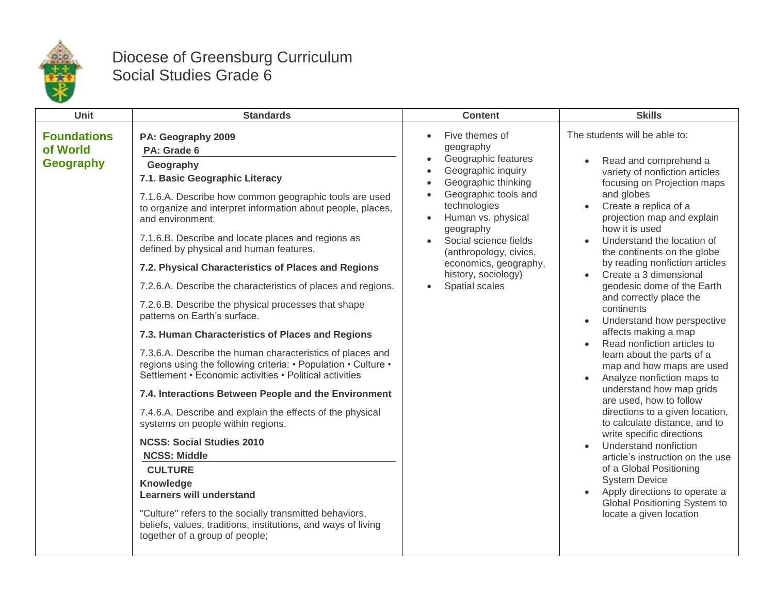

## Diocese of Greensburg Curriculum Social Studies Grade 6

| <b>Unit</b>                                        | <b>Standards</b>                                                                                                                                                                                                                                                                                                                                                                                                                                                                                                                                                                                                                                                                                                                                                                                                                                                                                                                                                                                                                                                                                                                                                                                                                                | <b>Content</b>                                                                                                                                                                                                                                                                                                                                                   | <b>Skills</b>                                                                                                                                                                                                                                                                                                                                                                                                                                                                                                                                                                                                                                                                                                                                                                                                                                                                                                                                                                                           |
|----------------------------------------------------|-------------------------------------------------------------------------------------------------------------------------------------------------------------------------------------------------------------------------------------------------------------------------------------------------------------------------------------------------------------------------------------------------------------------------------------------------------------------------------------------------------------------------------------------------------------------------------------------------------------------------------------------------------------------------------------------------------------------------------------------------------------------------------------------------------------------------------------------------------------------------------------------------------------------------------------------------------------------------------------------------------------------------------------------------------------------------------------------------------------------------------------------------------------------------------------------------------------------------------------------------|------------------------------------------------------------------------------------------------------------------------------------------------------------------------------------------------------------------------------------------------------------------------------------------------------------------------------------------------------------------|---------------------------------------------------------------------------------------------------------------------------------------------------------------------------------------------------------------------------------------------------------------------------------------------------------------------------------------------------------------------------------------------------------------------------------------------------------------------------------------------------------------------------------------------------------------------------------------------------------------------------------------------------------------------------------------------------------------------------------------------------------------------------------------------------------------------------------------------------------------------------------------------------------------------------------------------------------------------------------------------------------|
| <b>Foundations</b><br>of World<br><b>Geography</b> | PA: Geography 2009<br>PA: Grade 6<br>Geography<br>7.1. Basic Geographic Literacy<br>7.1.6.A. Describe how common geographic tools are used<br>to organize and interpret information about people, places,<br>and environment.<br>7.1.6.B. Describe and locate places and regions as<br>defined by physical and human features.<br>7.2. Physical Characteristics of Places and Regions<br>7.2.6.A. Describe the characteristics of places and regions.<br>7.2.6.B. Describe the physical processes that shape<br>patterns on Earth's surface.<br>7.3. Human Characteristics of Places and Regions<br>7.3.6.A. Describe the human characteristics of places and<br>regions using the following criteria: • Population • Culture •<br>Settlement • Economic activities • Political activities<br>7.4. Interactions Between People and the Environment<br>7.4.6.A. Describe and explain the effects of the physical<br>systems on people within regions.<br><b>NCSS: Social Studies 2010</b><br><b>NCSS: Middle</b><br><b>CULTURE</b><br>Knowledge<br><b>Learners will understand</b><br>"Culture" refers to the socially transmitted behaviors,<br>beliefs, values, traditions, institutions, and ways of living<br>together of a group of people; | Five themes of<br>$\bullet$<br>geography<br>Geographic features<br>$\bullet$<br>Geographic inquiry<br>$\bullet$<br>Geographic thinking<br>$\bullet$<br>Geographic tools and<br>technologies<br>Human vs. physical<br>geography<br>Social science fields<br>$\bullet$<br>(anthropology, civics,<br>economics, geography,<br>history, sociology)<br>Spatial scales | The students will be able to:<br>Read and comprehend a<br>$\bullet$<br>variety of nonfiction articles<br>focusing on Projection maps<br>and globes<br>Create a replica of a<br>projection map and explain<br>how it is used<br>Understand the location of<br>$\bullet$<br>the continents on the globe<br>by reading nonfiction articles<br>Create a 3 dimensional<br>geodesic dome of the Earth<br>and correctly place the<br>continents<br>Understand how perspective<br>affects making a map<br>Read nonfiction articles to<br>$\bullet$<br>learn about the parts of a<br>map and how maps are used<br>Analyze nonfiction maps to<br>understand how map grids<br>are used, how to follow<br>directions to a given location,<br>to calculate distance, and to<br>write specific directions<br>Understand nonfiction<br>article's instruction on the use<br>of a Global Positioning<br><b>System Device</b><br>Apply directions to operate a<br>Global Positioning System to<br>locate a given location |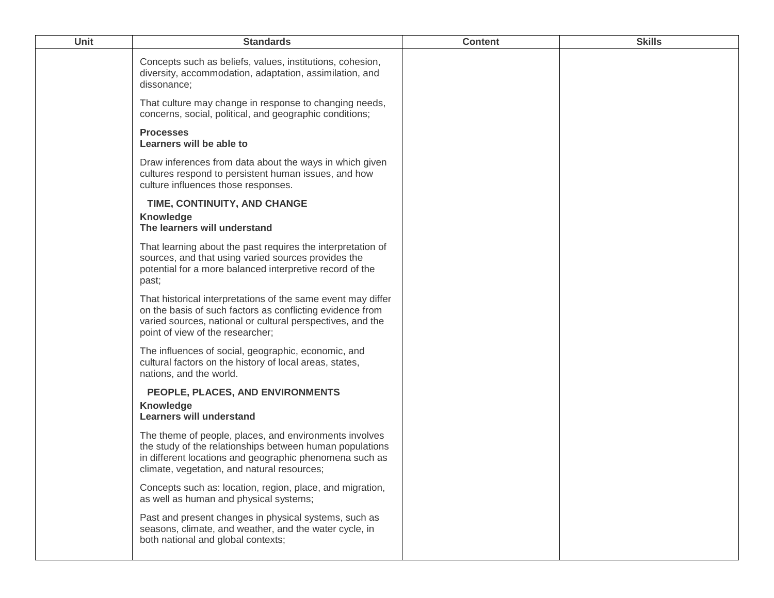| <b>Unit</b> | <b>Standards</b>                                                                                                                                                                                                             | <b>Content</b> | <b>Skills</b> |
|-------------|------------------------------------------------------------------------------------------------------------------------------------------------------------------------------------------------------------------------------|----------------|---------------|
|             | Concepts such as beliefs, values, institutions, cohesion,<br>diversity, accommodation, adaptation, assimilation, and<br>dissonance;                                                                                          |                |               |
|             | That culture may change in response to changing needs,<br>concerns, social, political, and geographic conditions;                                                                                                            |                |               |
|             | <b>Processes</b><br>Learners will be able to                                                                                                                                                                                 |                |               |
|             | Draw inferences from data about the ways in which given<br>cultures respond to persistent human issues, and how<br>culture influences those responses.                                                                       |                |               |
|             | TIME, CONTINUITY, AND CHANGE<br><b>Knowledge</b><br>The learners will understand                                                                                                                                             |                |               |
|             | That learning about the past requires the interpretation of<br>sources, and that using varied sources provides the<br>potential for a more balanced interpretive record of the<br>past;                                      |                |               |
|             | That historical interpretations of the same event may differ<br>on the basis of such factors as conflicting evidence from<br>varied sources, national or cultural perspectives, and the<br>point of view of the researcher;  |                |               |
|             | The influences of social, geographic, economic, and<br>cultural factors on the history of local areas, states,<br>nations, and the world.                                                                                    |                |               |
|             | PEOPLE, PLACES, AND ENVIRONMENTS<br><b>Knowledge</b><br><b>Learners will understand</b>                                                                                                                                      |                |               |
|             | The theme of people, places, and environments involves<br>the study of the relationships between human populations<br>in different locations and geographic phenomena such as<br>climate, vegetation, and natural resources; |                |               |
|             | Concepts such as: location, region, place, and migration,<br>as well as human and physical systems;                                                                                                                          |                |               |
|             | Past and present changes in physical systems, such as<br>seasons, climate, and weather, and the water cycle, in<br>both national and global contexts;                                                                        |                |               |
|             |                                                                                                                                                                                                                              |                |               |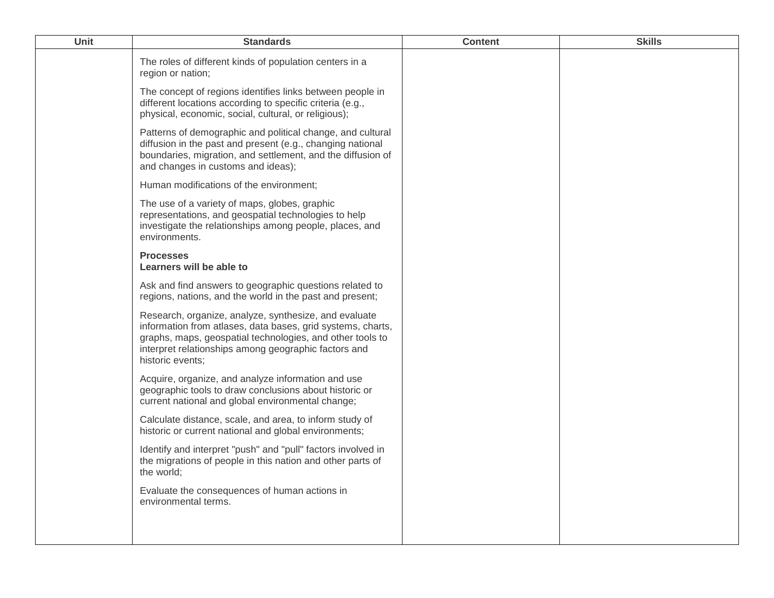| Unit | <b>Standards</b>                                                                                                                                                                                                                                              | <b>Content</b> | <b>Skills</b> |
|------|---------------------------------------------------------------------------------------------------------------------------------------------------------------------------------------------------------------------------------------------------------------|----------------|---------------|
|      | The roles of different kinds of population centers in a<br>region or nation;                                                                                                                                                                                  |                |               |
|      | The concept of regions identifies links between people in<br>different locations according to specific criteria (e.g.,<br>physical, economic, social, cultural, or religious);                                                                                |                |               |
|      | Patterns of demographic and political change, and cultural<br>diffusion in the past and present (e.g., changing national<br>boundaries, migration, and settlement, and the diffusion of<br>and changes in customs and ideas);                                 |                |               |
|      | Human modifications of the environment;                                                                                                                                                                                                                       |                |               |
|      | The use of a variety of maps, globes, graphic<br>representations, and geospatial technologies to help<br>investigate the relationships among people, places, and<br>environments.                                                                             |                |               |
|      | <b>Processes</b><br>Learners will be able to                                                                                                                                                                                                                  |                |               |
|      | Ask and find answers to geographic questions related to<br>regions, nations, and the world in the past and present;                                                                                                                                           |                |               |
|      | Research, organize, analyze, synthesize, and evaluate<br>information from atlases, data bases, grid systems, charts,<br>graphs, maps, geospatial technologies, and other tools to<br>interpret relationships among geographic factors and<br>historic events; |                |               |
|      | Acquire, organize, and analyze information and use<br>geographic tools to draw conclusions about historic or<br>current national and global environmental change;                                                                                             |                |               |
|      | Calculate distance, scale, and area, to inform study of<br>historic or current national and global environments;                                                                                                                                              |                |               |
|      | Identify and interpret "push" and "pull" factors involved in<br>the migrations of people in this nation and other parts of<br>the world:                                                                                                                      |                |               |
|      | Evaluate the consequences of human actions in<br>environmental terms.                                                                                                                                                                                         |                |               |
|      |                                                                                                                                                                                                                                                               |                |               |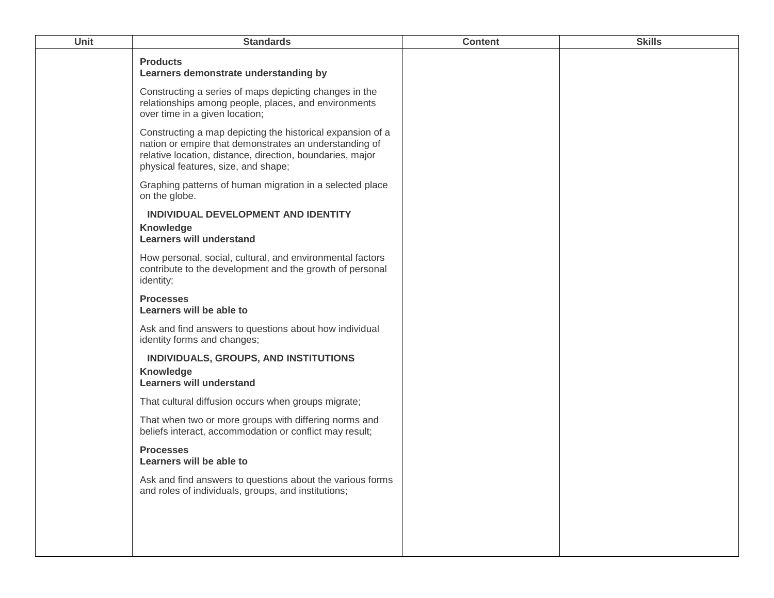| Unit | <b>Standards</b>                                                                                                                                                                                                         | <b>Content</b> | <b>Skills</b> |
|------|--------------------------------------------------------------------------------------------------------------------------------------------------------------------------------------------------------------------------|----------------|---------------|
|      | <b>Products</b><br>Learners demonstrate understanding by                                                                                                                                                                 |                |               |
|      | Constructing a series of maps depicting changes in the<br>relationships among people, places, and environments<br>over time in a given location;                                                                         |                |               |
|      | Constructing a map depicting the historical expansion of a<br>nation or empire that demonstrates an understanding of<br>relative location, distance, direction, boundaries, major<br>physical features, size, and shape; |                |               |
|      | Graphing patterns of human migration in a selected place<br>on the globe.                                                                                                                                                |                |               |
|      | INDIVIDUAL DEVELOPMENT AND IDENTITY<br><b>Knowledge</b><br><b>Learners will understand</b>                                                                                                                               |                |               |
|      | How personal, social, cultural, and environmental factors<br>contribute to the development and the growth of personal<br>identity;                                                                                       |                |               |
|      | <b>Processes</b><br>Learners will be able to                                                                                                                                                                             |                |               |
|      | Ask and find answers to questions about how individual<br>identity forms and changes;                                                                                                                                    |                |               |
|      | INDIVIDUALS, GROUPS, AND INSTITUTIONS<br>Knowledge<br><b>Learners will understand</b>                                                                                                                                    |                |               |
|      | That cultural diffusion occurs when groups migrate;                                                                                                                                                                      |                |               |
|      | That when two or more groups with differing norms and<br>beliefs interact, accommodation or conflict may result;                                                                                                         |                |               |
|      | <b>Processes</b><br>Learners will be able to                                                                                                                                                                             |                |               |
|      | Ask and find answers to questions about the various forms<br>and roles of individuals, groups, and institutions;                                                                                                         |                |               |
|      |                                                                                                                                                                                                                          |                |               |
|      |                                                                                                                                                                                                                          |                |               |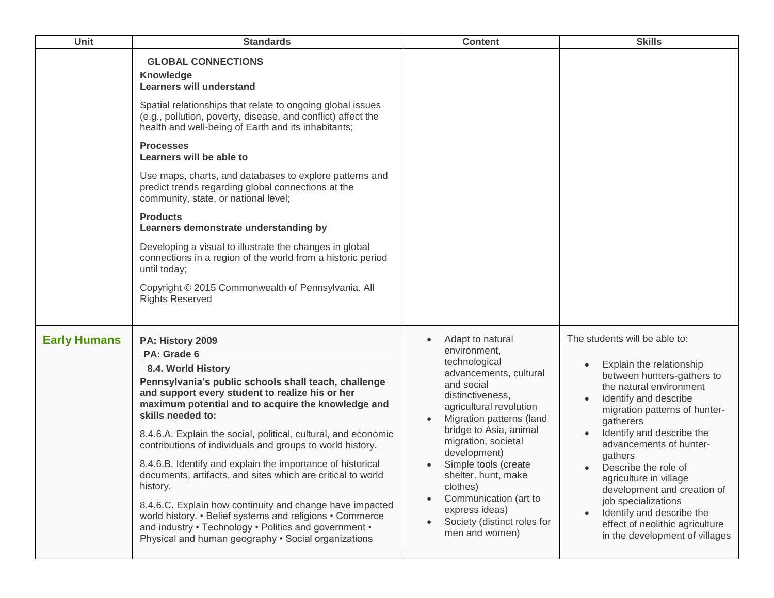| Unit                | <b>Standards</b>                                                                                                                                                                                                                                                                                                                                                                                                                                                                                                                                                                                                                                                                                                                                              | <b>Content</b>                                                                                                                                                                                                                                                                                                                                                                                            | <b>Skills</b>                                                                                                                                                                                                                                                                                                                                                                                                                                                                                                 |
|---------------------|---------------------------------------------------------------------------------------------------------------------------------------------------------------------------------------------------------------------------------------------------------------------------------------------------------------------------------------------------------------------------------------------------------------------------------------------------------------------------------------------------------------------------------------------------------------------------------------------------------------------------------------------------------------------------------------------------------------------------------------------------------------|-----------------------------------------------------------------------------------------------------------------------------------------------------------------------------------------------------------------------------------------------------------------------------------------------------------------------------------------------------------------------------------------------------------|---------------------------------------------------------------------------------------------------------------------------------------------------------------------------------------------------------------------------------------------------------------------------------------------------------------------------------------------------------------------------------------------------------------------------------------------------------------------------------------------------------------|
|                     | <b>GLOBAL CONNECTIONS</b><br>Knowledge<br><b>Learners will understand</b><br>Spatial relationships that relate to ongoing global issues<br>(e.g., pollution, poverty, disease, and conflict) affect the<br>health and well-being of Earth and its inhabitants;<br><b>Processes</b><br>Learners will be able to<br>Use maps, charts, and databases to explore patterns and<br>predict trends regarding global connections at the<br>community, state, or national level;<br><b>Products</b><br>Learners demonstrate understanding by<br>Developing a visual to illustrate the changes in global<br>connections in a region of the world from a historic period<br>until today;<br>Copyright © 2015 Commonwealth of Pennsylvania. All<br><b>Rights Reserved</b> |                                                                                                                                                                                                                                                                                                                                                                                                           |                                                                                                                                                                                                                                                                                                                                                                                                                                                                                                               |
| <b>Early Humans</b> | PA: History 2009<br>PA: Grade 6<br>8.4. World History<br>Pennsylvania's public schools shall teach, challenge<br>and support every student to realize his or her<br>maximum potential and to acquire the knowledge and<br>skills needed to:<br>8.4.6.A. Explain the social, political, cultural, and economic<br>contributions of individuals and groups to world history.<br>8.4.6.B. Identify and explain the importance of historical<br>documents, artifacts, and sites which are critical to world<br>history.<br>8.4.6.C. Explain how continuity and change have impacted<br>world history. • Belief systems and religions • Commerce<br>and industry • Technology • Politics and government •<br>Physical and human geography . Social organizations   | Adapt to natural<br>$\bullet$<br>environment,<br>technological<br>advancements, cultural<br>and social<br>distinctiveness,<br>agricultural revolution<br>Migration patterns (land<br>bridge to Asia, animal<br>migration, societal<br>development)<br>Simple tools (create<br>shelter, hunt, make<br>clothes)<br>Communication (art to<br>express ideas)<br>Society (distinct roles for<br>men and women) | The students will be able to:<br>Explain the relationship<br>$\bullet$<br>between hunters-gathers to<br>the natural environment<br>Identify and describe<br>$\bullet$<br>migration patterns of hunter-<br>gatherers<br>Identify and describe the<br>advancements of hunter-<br>gathers<br>Describe the role of<br>agriculture in village<br>development and creation of<br>job specializations<br>Identify and describe the<br>$\bullet$<br>effect of neolithic agriculture<br>in the development of villages |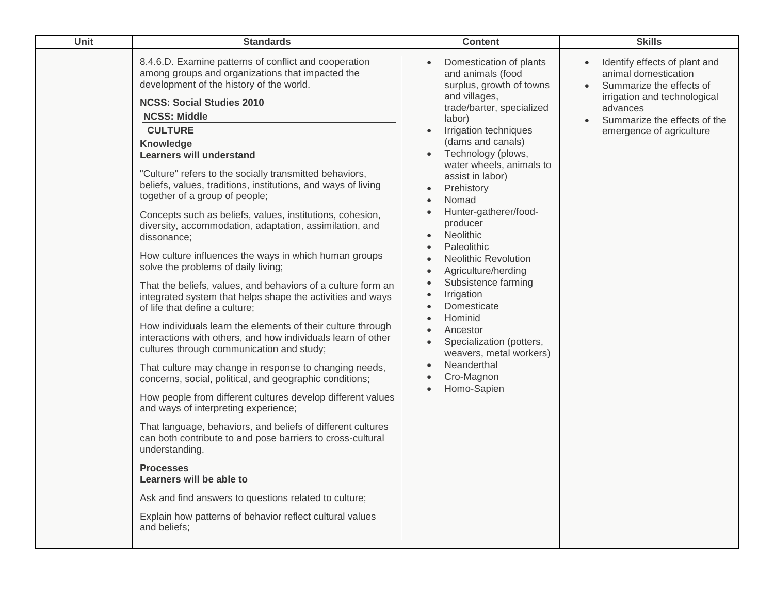| Unit | <b>Standards</b>                                                                                                                                                                                                                                                                                                                                                                                                                                                                                                                                                                                                                                                                                                                                                                                                                                                                                                                                                                                                                                                                                                                                                                                                                                                                                                                                                                                                                                                                                                                                                                                    | <b>Content</b>                                                                                                                                                                                                                                                                                                                                                                                                                                                                                                                                                                                | <b>Skills</b>                                                                                                                                                                                                       |
|------|-----------------------------------------------------------------------------------------------------------------------------------------------------------------------------------------------------------------------------------------------------------------------------------------------------------------------------------------------------------------------------------------------------------------------------------------------------------------------------------------------------------------------------------------------------------------------------------------------------------------------------------------------------------------------------------------------------------------------------------------------------------------------------------------------------------------------------------------------------------------------------------------------------------------------------------------------------------------------------------------------------------------------------------------------------------------------------------------------------------------------------------------------------------------------------------------------------------------------------------------------------------------------------------------------------------------------------------------------------------------------------------------------------------------------------------------------------------------------------------------------------------------------------------------------------------------------------------------------------|-----------------------------------------------------------------------------------------------------------------------------------------------------------------------------------------------------------------------------------------------------------------------------------------------------------------------------------------------------------------------------------------------------------------------------------------------------------------------------------------------------------------------------------------------------------------------------------------------|---------------------------------------------------------------------------------------------------------------------------------------------------------------------------------------------------------------------|
|      | 8.4.6.D. Examine patterns of conflict and cooperation<br>among groups and organizations that impacted the<br>development of the history of the world.<br><b>NCSS: Social Studies 2010</b><br><b>NCSS: Middle</b><br><b>CULTURE</b><br>Knowledge<br><b>Learners will understand</b><br>"Culture" refers to the socially transmitted behaviors,<br>beliefs, values, traditions, institutions, and ways of living<br>together of a group of people;<br>Concepts such as beliefs, values, institutions, cohesion,<br>diversity, accommodation, adaptation, assimilation, and<br>dissonance;<br>How culture influences the ways in which human groups<br>solve the problems of daily living;<br>That the beliefs, values, and behaviors of a culture form an<br>integrated system that helps shape the activities and ways<br>of life that define a culture;<br>How individuals learn the elements of their culture through<br>interactions with others, and how individuals learn of other<br>cultures through communication and study;<br>That culture may change in response to changing needs,<br>concerns, social, political, and geographic conditions;<br>How people from different cultures develop different values<br>and ways of interpreting experience;<br>That language, behaviors, and beliefs of different cultures<br>can both contribute to and pose barriers to cross-cultural<br>understanding.<br><b>Processes</b><br>Learners will be able to<br>Ask and find answers to questions related to culture;<br>Explain how patterns of behavior reflect cultural values<br>and beliefs; | Domestication of plants<br>and animals (food<br>surplus, growth of towns<br>and villages,<br>trade/barter, specialized<br>labor)<br>Irrigation techniques<br>(dams and canals)<br>Technology (plows,<br>water wheels, animals to<br>assist in labor)<br>Prehistory<br>Nomad<br>Hunter-gatherer/food-<br>producer<br>Neolithic<br>Paleolithic<br><b>Neolithic Revolution</b><br>Agriculture/herding<br>Subsistence farming<br>Irrigation<br>$\bullet$<br>Domesticate<br>Hominid<br>Ancestor<br>Specialization (potters,<br>weavers, metal workers)<br>Neanderthal<br>Cro-Magnon<br>Homo-Sapien | Identify effects of plant and<br>animal domestication<br>Summarize the effects of<br>$\bullet$<br>irrigation and technological<br>advances<br>Summarize the effects of the<br>$\bullet$<br>emergence of agriculture |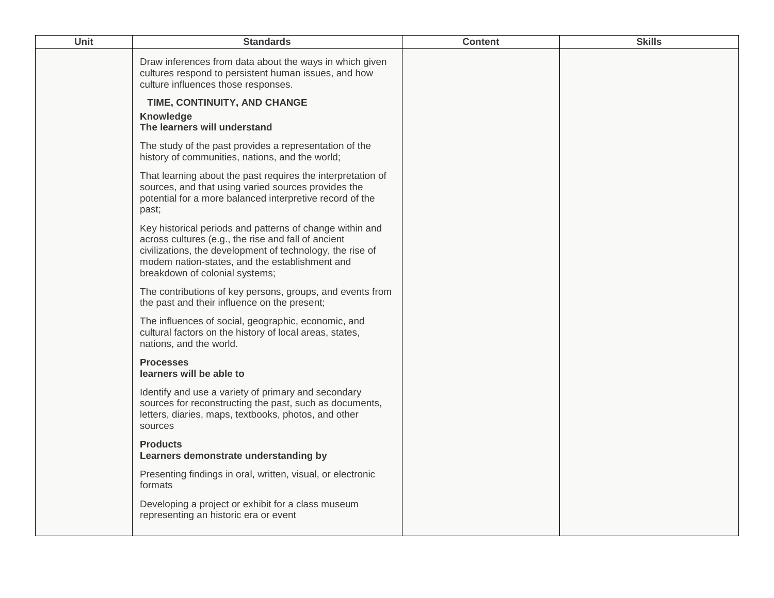| Unit | <b>Standards</b>                                                                                                                                                                                                                                                 | <b>Content</b> | <b>Skills</b> |
|------|------------------------------------------------------------------------------------------------------------------------------------------------------------------------------------------------------------------------------------------------------------------|----------------|---------------|
|      | Draw inferences from data about the ways in which given<br>cultures respond to persistent human issues, and how<br>culture influences those responses.                                                                                                           |                |               |
|      | TIME, CONTINUITY, AND CHANGE<br>Knowledge<br>The learners will understand                                                                                                                                                                                        |                |               |
|      | The study of the past provides a representation of the<br>history of communities, nations, and the world;                                                                                                                                                        |                |               |
|      | That learning about the past requires the interpretation of<br>sources, and that using varied sources provides the<br>potential for a more balanced interpretive record of the<br>past;                                                                          |                |               |
|      | Key historical periods and patterns of change within and<br>across cultures (e.g., the rise and fall of ancient<br>civilizations, the development of technology, the rise of<br>modem nation-states, and the establishment and<br>breakdown of colonial systems; |                |               |
|      | The contributions of key persons, groups, and events from<br>the past and their influence on the present;                                                                                                                                                        |                |               |
|      | The influences of social, geographic, economic, and<br>cultural factors on the history of local areas, states,<br>nations, and the world.                                                                                                                        |                |               |
|      | <b>Processes</b><br>learners will be able to                                                                                                                                                                                                                     |                |               |
|      | Identify and use a variety of primary and secondary<br>sources for reconstructing the past, such as documents,<br>letters, diaries, maps, textbooks, photos, and other<br>sources                                                                                |                |               |
|      | <b>Products</b><br>Learners demonstrate understanding by                                                                                                                                                                                                         |                |               |
|      | Presenting findings in oral, written, visual, or electronic<br>formats                                                                                                                                                                                           |                |               |
|      | Developing a project or exhibit for a class museum<br>representing an historic era or event                                                                                                                                                                      |                |               |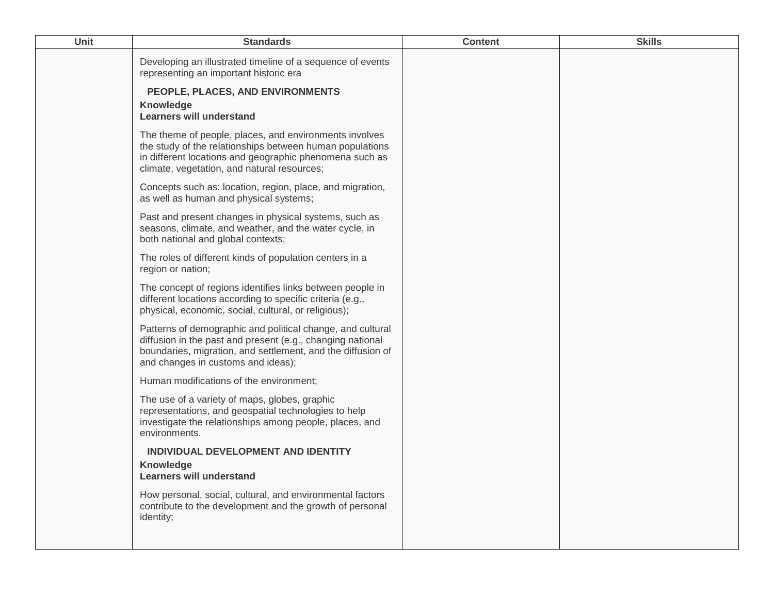| Unit | <b>Standards</b>                                                                                                                                                                                                              | <b>Content</b> | <b>Skills</b> |
|------|-------------------------------------------------------------------------------------------------------------------------------------------------------------------------------------------------------------------------------|----------------|---------------|
|      | Developing an illustrated timeline of a sequence of events<br>representing an important historic era                                                                                                                          |                |               |
|      | PEOPLE, PLACES, AND ENVIRONMENTS<br><b>Knowledge</b><br><b>Learners will understand</b>                                                                                                                                       |                |               |
|      | The theme of people, places, and environments involves<br>the study of the relationships between human populations<br>in different locations and geographic phenomena such as<br>climate, vegetation, and natural resources;  |                |               |
|      | Concepts such as: location, region, place, and migration,<br>as well as human and physical systems;                                                                                                                           |                |               |
|      | Past and present changes in physical systems, such as<br>seasons, climate, and weather, and the water cycle, in<br>both national and global contexts;                                                                         |                |               |
|      | The roles of different kinds of population centers in a<br>region or nation;                                                                                                                                                  |                |               |
|      | The concept of regions identifies links between people in<br>different locations according to specific criteria (e.g.,<br>physical, economic, social, cultural, or religious);                                                |                |               |
|      | Patterns of demographic and political change, and cultural<br>diffusion in the past and present (e.g., changing national<br>boundaries, migration, and settlement, and the diffusion of<br>and changes in customs and ideas); |                |               |
|      | Human modifications of the environment;                                                                                                                                                                                       |                |               |
|      | The use of a variety of maps, globes, graphic<br>representations, and geospatial technologies to help<br>investigate the relationships among people, places, and<br>environments.                                             |                |               |
|      | INDIVIDUAL DEVELOPMENT AND IDENTITY<br>Knowledge<br><b>Learners will understand</b>                                                                                                                                           |                |               |
|      | How personal, social, cultural, and environmental factors<br>contribute to the development and the growth of personal<br>identity;                                                                                            |                |               |
|      |                                                                                                                                                                                                                               |                |               |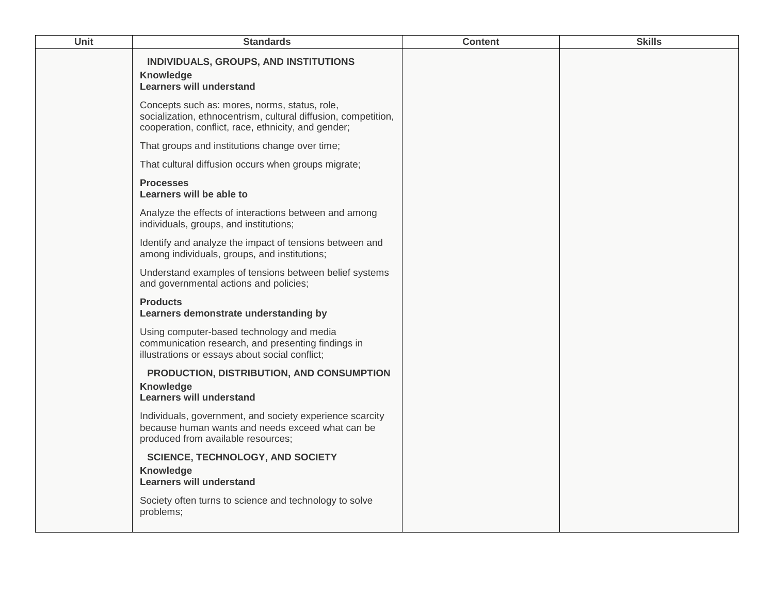| Unit | <b>Standards</b>                                                                                                                                                       | <b>Content</b> | <b>Skills</b> |
|------|------------------------------------------------------------------------------------------------------------------------------------------------------------------------|----------------|---------------|
|      | INDIVIDUALS, GROUPS, AND INSTITUTIONS<br><b>Knowledge</b><br><b>Learners will understand</b>                                                                           |                |               |
|      | Concepts such as: mores, norms, status, role,<br>socialization, ethnocentrism, cultural diffusion, competition,<br>cooperation, conflict, race, ethnicity, and gender; |                |               |
|      | That groups and institutions change over time;                                                                                                                         |                |               |
|      | That cultural diffusion occurs when groups migrate;                                                                                                                    |                |               |
|      | <b>Processes</b><br>Learners will be able to                                                                                                                           |                |               |
|      | Analyze the effects of interactions between and among<br>individuals, groups, and institutions;                                                                        |                |               |
|      | Identify and analyze the impact of tensions between and<br>among individuals, groups, and institutions;                                                                |                |               |
|      | Understand examples of tensions between belief systems<br>and governmental actions and policies;                                                                       |                |               |
|      | <b>Products</b><br>Learners demonstrate understanding by                                                                                                               |                |               |
|      | Using computer-based technology and media<br>communication research, and presenting findings in<br>illustrations or essays about social conflict;                      |                |               |
|      | PRODUCTION, DISTRIBUTION, AND CONSUMPTION<br><b>Knowledge</b><br><b>Learners will understand</b>                                                                       |                |               |
|      | Individuals, government, and society experience scarcity<br>because human wants and needs exceed what can be<br>produced from available resources;                     |                |               |
|      | <b>SCIENCE, TECHNOLOGY, AND SOCIETY</b><br><b>Knowledge</b><br><b>Learners will understand</b>                                                                         |                |               |
|      | Society often turns to science and technology to solve<br>problems;                                                                                                    |                |               |
|      |                                                                                                                                                                        |                |               |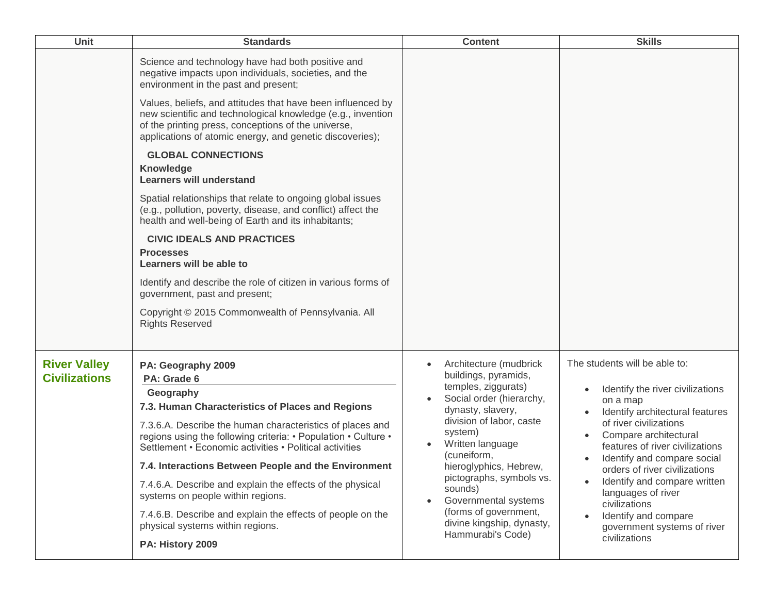| <b>Unit</b>                                 | <b>Standards</b>                                                                                                                                                                                                                                                                                                                                                                                                                                                                                                                                                             | <b>Content</b>                                                                                                                                                                                                                                                                                                                                                       | <b>Skills</b>                                                                                                                                                                                                                                                                                                                                                                                                                                                                          |
|---------------------------------------------|------------------------------------------------------------------------------------------------------------------------------------------------------------------------------------------------------------------------------------------------------------------------------------------------------------------------------------------------------------------------------------------------------------------------------------------------------------------------------------------------------------------------------------------------------------------------------|----------------------------------------------------------------------------------------------------------------------------------------------------------------------------------------------------------------------------------------------------------------------------------------------------------------------------------------------------------------------|----------------------------------------------------------------------------------------------------------------------------------------------------------------------------------------------------------------------------------------------------------------------------------------------------------------------------------------------------------------------------------------------------------------------------------------------------------------------------------------|
|                                             | Science and technology have had both positive and<br>negative impacts upon individuals, societies, and the<br>environment in the past and present;<br>Values, beliefs, and attitudes that have been influenced by<br>new scientific and technological knowledge (e.g., invention<br>of the printing press, conceptions of the universe,<br>applications of atomic energy, and genetic discoveries);                                                                                                                                                                          |                                                                                                                                                                                                                                                                                                                                                                      |                                                                                                                                                                                                                                                                                                                                                                                                                                                                                        |
|                                             | <b>GLOBAL CONNECTIONS</b><br>Knowledge<br><b>Learners will understand</b>                                                                                                                                                                                                                                                                                                                                                                                                                                                                                                    |                                                                                                                                                                                                                                                                                                                                                                      |                                                                                                                                                                                                                                                                                                                                                                                                                                                                                        |
|                                             | Spatial relationships that relate to ongoing global issues<br>(e.g., pollution, poverty, disease, and conflict) affect the<br>health and well-being of Earth and its inhabitants;                                                                                                                                                                                                                                                                                                                                                                                            |                                                                                                                                                                                                                                                                                                                                                                      |                                                                                                                                                                                                                                                                                                                                                                                                                                                                                        |
|                                             | <b>CIVIC IDEALS AND PRACTICES</b><br><b>Processes</b><br>Learners will be able to                                                                                                                                                                                                                                                                                                                                                                                                                                                                                            |                                                                                                                                                                                                                                                                                                                                                                      |                                                                                                                                                                                                                                                                                                                                                                                                                                                                                        |
|                                             | Identify and describe the role of citizen in various forms of<br>government, past and present;                                                                                                                                                                                                                                                                                                                                                                                                                                                                               |                                                                                                                                                                                                                                                                                                                                                                      |                                                                                                                                                                                                                                                                                                                                                                                                                                                                                        |
|                                             | Copyright © 2015 Commonwealth of Pennsylvania. All<br><b>Rights Reserved</b>                                                                                                                                                                                                                                                                                                                                                                                                                                                                                                 |                                                                                                                                                                                                                                                                                                                                                                      |                                                                                                                                                                                                                                                                                                                                                                                                                                                                                        |
| <b>River Valley</b><br><b>Civilizations</b> | PA: Geography 2009<br>PA: Grade 6<br>Geography<br>7.3. Human Characteristics of Places and Regions<br>7.3.6.A. Describe the human characteristics of places and<br>regions using the following criteria: • Population • Culture •<br>Settlement • Economic activities • Political activities<br>7.4. Interactions Between People and the Environment<br>7.4.6.A. Describe and explain the effects of the physical<br>systems on people within regions.<br>7.4.6.B. Describe and explain the effects of people on the<br>physical systems within regions.<br>PA: History 2009 | Architecture (mudbrick<br>buildings, pyramids,<br>temples, ziggurats)<br>Social order (hierarchy,<br>dynasty, slavery,<br>division of labor, caste<br>system)<br>Written language<br>(cuneiform,<br>hieroglyphics, Hebrew,<br>pictographs, symbols vs.<br>sounds)<br>Governmental systems<br>(forms of government,<br>divine kingship, dynasty,<br>Hammurabi's Code) | The students will be able to:<br>Identify the river civilizations<br>$\bullet$<br>on a map<br>Identify architectural features<br>of river civilizations<br>Compare architectural<br>$\bullet$<br>features of river civilizations<br>Identify and compare social<br>$\bullet$<br>orders of river civilizations<br>Identify and compare written<br>$\bullet$<br>languages of river<br>civilizations<br>Identify and compare<br>$\bullet$<br>government systems of river<br>civilizations |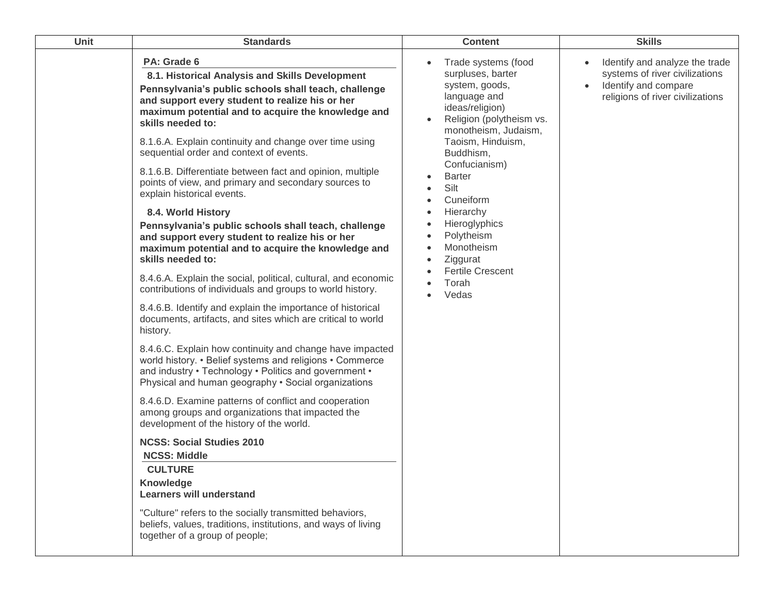| Unit | <b>Standards</b>                                                                                                                                                                                                                                                                                                                                                                                                                                                                                                                                                                                                                                                                                                                                                                                                                                                                                                                                                                                                                                                                                                                                                                                                                                                                                                                                                                                                                                                                                                                                                                                                                                                                             | <b>Content</b>                                                                                                                                                                                                                                                                                                                                                | <b>Skills</b>                                                                                                                             |
|------|----------------------------------------------------------------------------------------------------------------------------------------------------------------------------------------------------------------------------------------------------------------------------------------------------------------------------------------------------------------------------------------------------------------------------------------------------------------------------------------------------------------------------------------------------------------------------------------------------------------------------------------------------------------------------------------------------------------------------------------------------------------------------------------------------------------------------------------------------------------------------------------------------------------------------------------------------------------------------------------------------------------------------------------------------------------------------------------------------------------------------------------------------------------------------------------------------------------------------------------------------------------------------------------------------------------------------------------------------------------------------------------------------------------------------------------------------------------------------------------------------------------------------------------------------------------------------------------------------------------------------------------------------------------------------------------------|---------------------------------------------------------------------------------------------------------------------------------------------------------------------------------------------------------------------------------------------------------------------------------------------------------------------------------------------------------------|-------------------------------------------------------------------------------------------------------------------------------------------|
|      | PA: Grade 6<br>8.1. Historical Analysis and Skills Development<br>Pennsylvania's public schools shall teach, challenge<br>and support every student to realize his or her<br>maximum potential and to acquire the knowledge and<br>skills needed to:<br>8.1.6.A. Explain continuity and change over time using<br>sequential order and context of events.<br>8.1.6.B. Differentiate between fact and opinion, multiple<br>points of view, and primary and secondary sources to<br>explain historical events.<br>8.4. World History<br>Pennsylvania's public schools shall teach, challenge<br>and support every student to realize his or her<br>maximum potential and to acquire the knowledge and<br>skills needed to:<br>8.4.6.A. Explain the social, political, cultural, and economic<br>contributions of individuals and groups to world history.<br>8.4.6.B. Identify and explain the importance of historical<br>documents, artifacts, and sites which are critical to world<br>history.<br>8.4.6.C. Explain how continuity and change have impacted<br>world history. • Belief systems and religions • Commerce<br>and industry • Technology • Politics and government •<br>Physical and human geography . Social organizations<br>8.4.6.D. Examine patterns of conflict and cooperation<br>among groups and organizations that impacted the<br>development of the history of the world.<br><b>NCSS: Social Studies 2010</b><br><b>NCSS: Middle</b><br><b>CULTURE</b><br>Knowledge<br><b>Learners will understand</b><br>"Culture" refers to the socially transmitted behaviors,<br>beliefs, values, traditions, institutions, and ways of living<br>together of a group of people; | Trade systems (food<br>surpluses, barter<br>system, goods,<br>language and<br>ideas/religion)<br>Religion (polytheism vs.<br>monotheism, Judaism,<br>Taoism, Hinduism,<br>Buddhism,<br>Confucianism)<br><b>Barter</b><br>Silt<br>Cuneiform<br>Hierarchy<br>Hieroglyphics<br>Polytheism<br>Monotheism<br>Ziggurat<br><b>Fertile Crescent</b><br>Torah<br>Vedas | Identify and analyze the trade<br>systems of river civilizations<br>Identify and compare<br>$\bullet$<br>religions of river civilizations |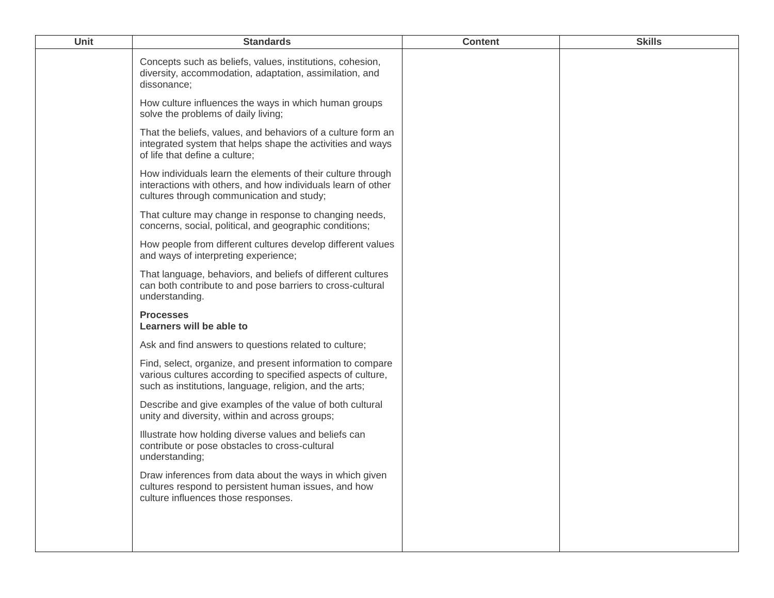| Unit | <b>Standards</b>                                                                                                                                                                     | <b>Content</b> | <b>Skills</b> |
|------|--------------------------------------------------------------------------------------------------------------------------------------------------------------------------------------|----------------|---------------|
|      | Concepts such as beliefs, values, institutions, cohesion,<br>diversity, accommodation, adaptation, assimilation, and<br>dissonance;                                                  |                |               |
|      | How culture influences the ways in which human groups<br>solve the problems of daily living;                                                                                         |                |               |
|      | That the beliefs, values, and behaviors of a culture form an<br>integrated system that helps shape the activities and ways<br>of life that define a culture;                         |                |               |
|      | How individuals learn the elements of their culture through<br>interactions with others, and how individuals learn of other<br>cultures through communication and study;             |                |               |
|      | That culture may change in response to changing needs,<br>concerns, social, political, and geographic conditions;                                                                    |                |               |
|      | How people from different cultures develop different values<br>and ways of interpreting experience;                                                                                  |                |               |
|      | That language, behaviors, and beliefs of different cultures<br>can both contribute to and pose barriers to cross-cultural<br>understanding.                                          |                |               |
|      | <b>Processes</b><br>Learners will be able to                                                                                                                                         |                |               |
|      | Ask and find answers to questions related to culture;                                                                                                                                |                |               |
|      | Find, select, organize, and present information to compare<br>various cultures according to specified aspects of culture,<br>such as institutions, language, religion, and the arts; |                |               |
|      | Describe and give examples of the value of both cultural<br>unity and diversity, within and across groups;                                                                           |                |               |
|      | Illustrate how holding diverse values and beliefs can<br>contribute or pose obstacles to cross-cultural<br>understanding;                                                            |                |               |
|      | Draw inferences from data about the ways in which given<br>cultures respond to persistent human issues, and how<br>culture influences those responses.                               |                |               |
|      |                                                                                                                                                                                      |                |               |
|      |                                                                                                                                                                                      |                |               |
|      |                                                                                                                                                                                      |                |               |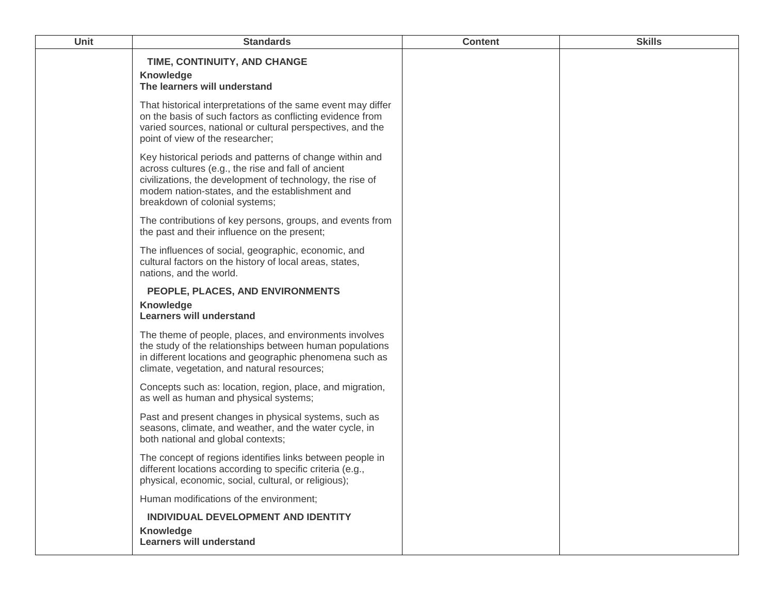| <b>Unit</b> | <b>Standards</b>                                                                                                                                                                                                                                                 | <b>Content</b> | <b>Skills</b> |
|-------------|------------------------------------------------------------------------------------------------------------------------------------------------------------------------------------------------------------------------------------------------------------------|----------------|---------------|
|             | TIME, CONTINUITY, AND CHANGE<br><b>Knowledge</b><br>The learners will understand                                                                                                                                                                                 |                |               |
|             | That historical interpretations of the same event may differ<br>on the basis of such factors as conflicting evidence from<br>varied sources, national or cultural perspectives, and the<br>point of view of the researcher;                                      |                |               |
|             | Key historical periods and patterns of change within and<br>across cultures (e.g., the rise and fall of ancient<br>civilizations, the development of technology, the rise of<br>modem nation-states, and the establishment and<br>breakdown of colonial systems; |                |               |
|             | The contributions of key persons, groups, and events from<br>the past and their influence on the present;                                                                                                                                                        |                |               |
|             | The influences of social, geographic, economic, and<br>cultural factors on the history of local areas, states,<br>nations, and the world.                                                                                                                        |                |               |
|             | PEOPLE, PLACES, AND ENVIRONMENTS                                                                                                                                                                                                                                 |                |               |
|             | Knowledge<br><b>Learners will understand</b>                                                                                                                                                                                                                     |                |               |
|             | The theme of people, places, and environments involves<br>the study of the relationships between human populations<br>in different locations and geographic phenomena such as<br>climate, vegetation, and natural resources;                                     |                |               |
|             | Concepts such as: location, region, place, and migration,<br>as well as human and physical systems;                                                                                                                                                              |                |               |
|             | Past and present changes in physical systems, such as<br>seasons, climate, and weather, and the water cycle, in<br>both national and global contexts;                                                                                                            |                |               |
|             | The concept of regions identifies links between people in<br>different locations according to specific criteria (e.g.,<br>physical, economic, social, cultural, or religious);                                                                                   |                |               |
|             | Human modifications of the environment;                                                                                                                                                                                                                          |                |               |
|             | INDIVIDUAL DEVELOPMENT AND IDENTITY                                                                                                                                                                                                                              |                |               |
|             | <b>Knowledge</b><br><b>Learners will understand</b>                                                                                                                                                                                                              |                |               |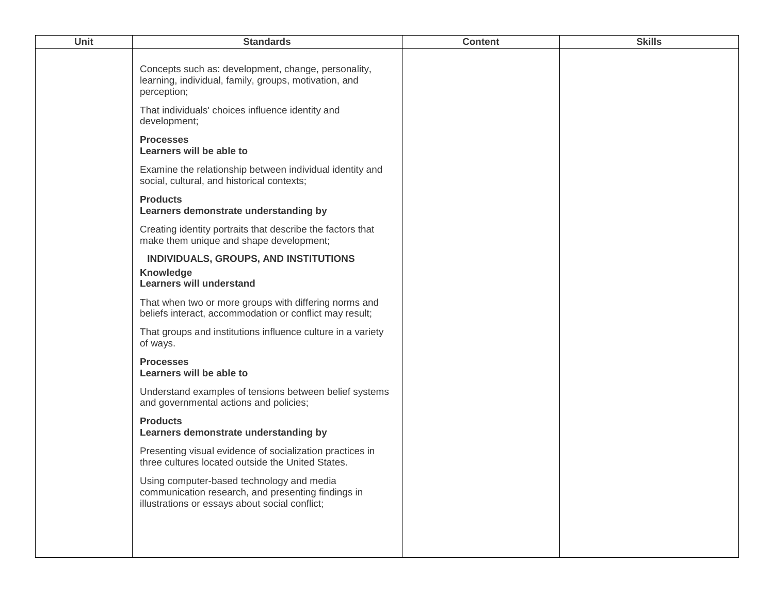| Concepts such as: development, change, personality,<br>learning, individual, family, groups, motivation, and<br>perception;                       |  |
|---------------------------------------------------------------------------------------------------------------------------------------------------|--|
| That individuals' choices influence identity and<br>development;                                                                                  |  |
| <b>Processes</b><br>Learners will be able to                                                                                                      |  |
| Examine the relationship between individual identity and<br>social, cultural, and historical contexts;                                            |  |
| <b>Products</b><br>Learners demonstrate understanding by                                                                                          |  |
| Creating identity portraits that describe the factors that<br>make them unique and shape development;                                             |  |
| INDIVIDUALS, GROUPS, AND INSTITUTIONS<br>Knowledge<br><b>Learners will understand</b>                                                             |  |
| That when two or more groups with differing norms and<br>beliefs interact, accommodation or conflict may result;                                  |  |
| That groups and institutions influence culture in a variety<br>of ways.                                                                           |  |
| <b>Processes</b><br>Learners will be able to                                                                                                      |  |
| Understand examples of tensions between belief systems<br>and governmental actions and policies;                                                  |  |
| <b>Products</b><br>Learners demonstrate understanding by                                                                                          |  |
| Presenting visual evidence of socialization practices in<br>three cultures located outside the United States.                                     |  |
| Using computer-based technology and media<br>communication research, and presenting findings in<br>illustrations or essays about social conflict; |  |
|                                                                                                                                                   |  |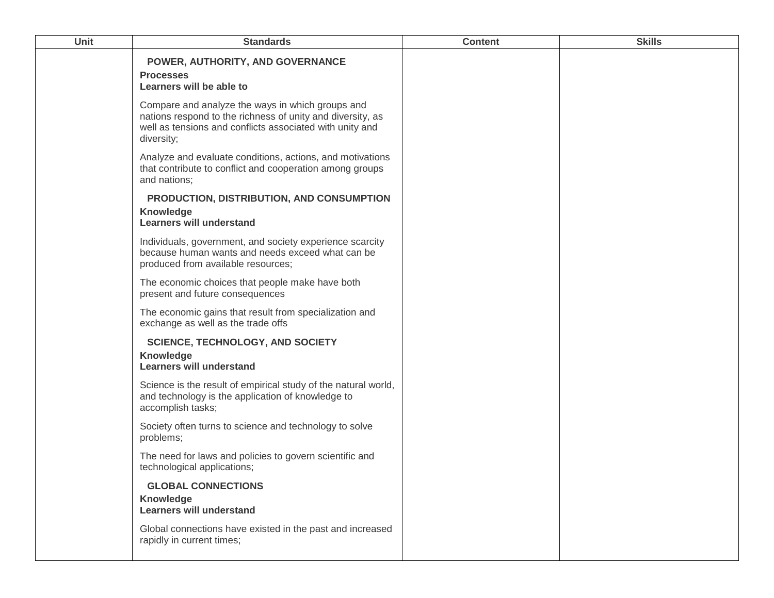| Unit | <b>Standards</b>                                                                                                                                                                         | <b>Content</b> | <b>Skills</b> |
|------|------------------------------------------------------------------------------------------------------------------------------------------------------------------------------------------|----------------|---------------|
|      | POWER, AUTHORITY, AND GOVERNANCE<br><b>Processes</b><br>Learners will be able to                                                                                                         |                |               |
|      | Compare and analyze the ways in which groups and<br>nations respond to the richness of unity and diversity, as<br>well as tensions and conflicts associated with unity and<br>diversity; |                |               |
|      | Analyze and evaluate conditions, actions, and motivations<br>that contribute to conflict and cooperation among groups<br>and nations;                                                    |                |               |
|      | PRODUCTION, DISTRIBUTION, AND CONSUMPTION<br><b>Knowledge</b><br><b>Learners will understand</b>                                                                                         |                |               |
|      | Individuals, government, and society experience scarcity<br>because human wants and needs exceed what can be<br>produced from available resources;                                       |                |               |
|      | The economic choices that people make have both<br>present and future consequences                                                                                                       |                |               |
|      | The economic gains that result from specialization and<br>exchange as well as the trade offs                                                                                             |                |               |
|      | <b>SCIENCE, TECHNOLOGY, AND SOCIETY</b><br>Knowledge<br><b>Learners will understand</b>                                                                                                  |                |               |
|      | Science is the result of empirical study of the natural world,<br>and technology is the application of knowledge to<br>accomplish tasks;                                                 |                |               |
|      | Society often turns to science and technology to solve<br>problems;                                                                                                                      |                |               |
|      | The need for laws and policies to govern scientific and<br>technological applications;                                                                                                   |                |               |
|      | <b>GLOBAL CONNECTIONS</b>                                                                                                                                                                |                |               |
|      | <b>Knowledge</b><br>Learners will understand                                                                                                                                             |                |               |
|      | Global connections have existed in the past and increased<br>rapidly in current times;                                                                                                   |                |               |
|      |                                                                                                                                                                                          |                |               |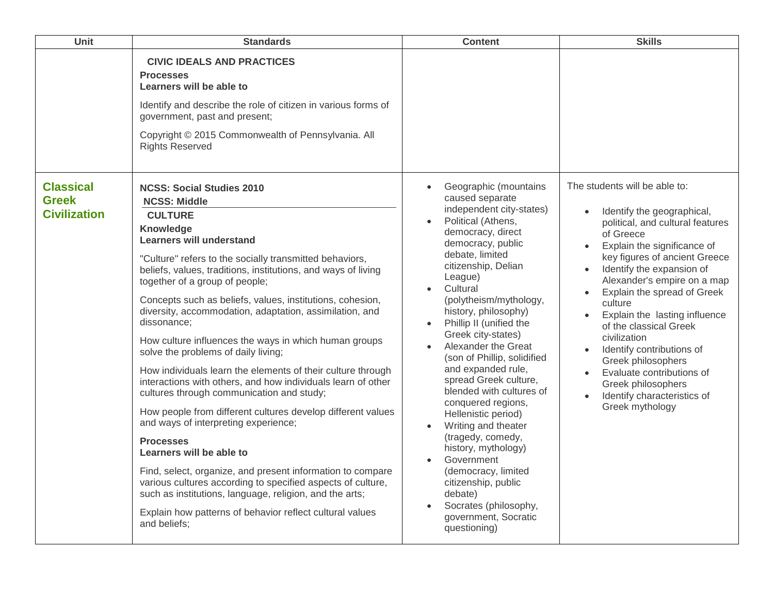| <b>Unit</b>                                             | <b>Standards</b>                                                                                                                                                                                                                                                                                                                                                                                                                                                                                                                                                                                                                                                                                                                                                                                                                                                                                                                                                                                                                                                                                                                      | <b>Content</b>                                                                                                                                                                                                                                                                                                                                                                                                                                                                                                                                                                                                                                                                                                                                        | <b>Skills</b>                                                                                                                                                                                                                                                                                                                                                                                                                                                                                                                                                |
|---------------------------------------------------------|---------------------------------------------------------------------------------------------------------------------------------------------------------------------------------------------------------------------------------------------------------------------------------------------------------------------------------------------------------------------------------------------------------------------------------------------------------------------------------------------------------------------------------------------------------------------------------------------------------------------------------------------------------------------------------------------------------------------------------------------------------------------------------------------------------------------------------------------------------------------------------------------------------------------------------------------------------------------------------------------------------------------------------------------------------------------------------------------------------------------------------------|-------------------------------------------------------------------------------------------------------------------------------------------------------------------------------------------------------------------------------------------------------------------------------------------------------------------------------------------------------------------------------------------------------------------------------------------------------------------------------------------------------------------------------------------------------------------------------------------------------------------------------------------------------------------------------------------------------------------------------------------------------|--------------------------------------------------------------------------------------------------------------------------------------------------------------------------------------------------------------------------------------------------------------------------------------------------------------------------------------------------------------------------------------------------------------------------------------------------------------------------------------------------------------------------------------------------------------|
|                                                         | <b>CIVIC IDEALS AND PRACTICES</b><br><b>Processes</b><br>Learners will be able to<br>Identify and describe the role of citizen in various forms of<br>government, past and present;<br>Copyright © 2015 Commonwealth of Pennsylvania. All<br><b>Rights Reserved</b>                                                                                                                                                                                                                                                                                                                                                                                                                                                                                                                                                                                                                                                                                                                                                                                                                                                                   |                                                                                                                                                                                                                                                                                                                                                                                                                                                                                                                                                                                                                                                                                                                                                       |                                                                                                                                                                                                                                                                                                                                                                                                                                                                                                                                                              |
| <b>Classical</b><br><b>Greek</b><br><b>Civilization</b> | <b>NCSS: Social Studies 2010</b><br><b>NCSS: Middle</b><br><b>CULTURE</b><br>Knowledge<br><b>Learners will understand</b><br>"Culture" refers to the socially transmitted behaviors,<br>beliefs, values, traditions, institutions, and ways of living<br>together of a group of people;<br>Concepts such as beliefs, values, institutions, cohesion,<br>diversity, accommodation, adaptation, assimilation, and<br>dissonance;<br>How culture influences the ways in which human groups<br>solve the problems of daily living;<br>How individuals learn the elements of their culture through<br>interactions with others, and how individuals learn of other<br>cultures through communication and study;<br>How people from different cultures develop different values<br>and ways of interpreting experience;<br><b>Processes</b><br>Learners will be able to<br>Find, select, organize, and present information to compare<br>various cultures according to specified aspects of culture,<br>such as institutions, language, religion, and the arts;<br>Explain how patterns of behavior reflect cultural values<br>and beliefs; | Geographic (mountains<br>$\bullet$<br>caused separate<br>independent city-states)<br>Political (Athens,<br>democracy, direct<br>democracy, public<br>debate, limited<br>citizenship, Delian<br>League)<br>Cultural<br>$\bullet$<br>(polytheism/mythology,<br>history, philosophy)<br>Phillip II (unified the<br>$\bullet$<br>Greek city-states)<br>Alexander the Great<br>(son of Phillip, solidified<br>and expanded rule,<br>spread Greek culture,<br>blended with cultures of<br>conquered regions,<br>Hellenistic period)<br>Writing and theater<br>$\bullet$<br>(tragedy, comedy,<br>history, mythology)<br>Government<br>(democracy, limited<br>citizenship, public<br>debate)<br>Socrates (philosophy,<br>government, Socratic<br>questioning) | The students will be able to:<br>Identify the geographical,<br>political, and cultural features<br>of Greece<br>Explain the significance of<br>$\bullet$<br>key figures of ancient Greece<br>Identify the expansion of<br>$\bullet$<br>Alexander's empire on a map<br>Explain the spread of Greek<br>$\bullet$<br>culture<br>Explain the lasting influence<br>of the classical Greek<br>civilization<br>Identify contributions of<br>Greek philosophers<br>Evaluate contributions of<br>Greek philosophers<br>Identify characteristics of<br>Greek mythology |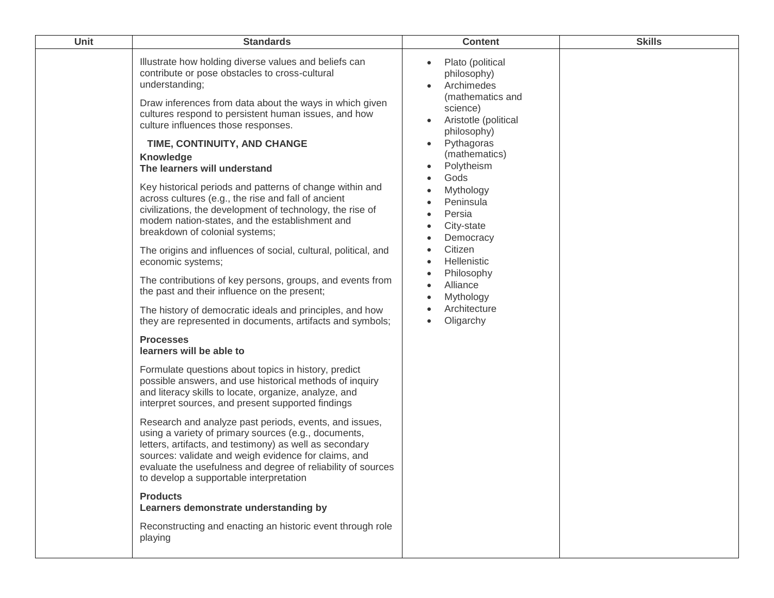| <b>Unit</b> | <b>Standards</b>                                                                                                                                                                                                                                                                                                                                                                                                                                                                                                                                                                                                                                                                                                                                                                                                                                                                                                                                                                                                                                                                                                                                                                                                                                                                                                                                                                                                                                                                                                                                                                                                                                                                                                                        | <b>Content</b>                                                                                                                                                                                                                                                                                                                                                                                                                                 | <b>Skills</b> |
|-------------|-----------------------------------------------------------------------------------------------------------------------------------------------------------------------------------------------------------------------------------------------------------------------------------------------------------------------------------------------------------------------------------------------------------------------------------------------------------------------------------------------------------------------------------------------------------------------------------------------------------------------------------------------------------------------------------------------------------------------------------------------------------------------------------------------------------------------------------------------------------------------------------------------------------------------------------------------------------------------------------------------------------------------------------------------------------------------------------------------------------------------------------------------------------------------------------------------------------------------------------------------------------------------------------------------------------------------------------------------------------------------------------------------------------------------------------------------------------------------------------------------------------------------------------------------------------------------------------------------------------------------------------------------------------------------------------------------------------------------------------------|------------------------------------------------------------------------------------------------------------------------------------------------------------------------------------------------------------------------------------------------------------------------------------------------------------------------------------------------------------------------------------------------------------------------------------------------|---------------|
|             | Illustrate how holding diverse values and beliefs can<br>contribute or pose obstacles to cross-cultural<br>understanding;<br>Draw inferences from data about the ways in which given<br>cultures respond to persistent human issues, and how<br>culture influences those responses.<br>TIME, CONTINUITY, AND CHANGE<br>Knowledge<br>The learners will understand<br>Key historical periods and patterns of change within and<br>across cultures (e.g., the rise and fall of ancient<br>civilizations, the development of technology, the rise of<br>modem nation-states, and the establishment and<br>breakdown of colonial systems;<br>The origins and influences of social, cultural, political, and<br>economic systems;<br>The contributions of key persons, groups, and events from<br>the past and their influence on the present;<br>The history of democratic ideals and principles, and how<br>they are represented in documents, artifacts and symbols;<br><b>Processes</b><br>learners will be able to<br>Formulate questions about topics in history, predict<br>possible answers, and use historical methods of inquiry<br>and literacy skills to locate, organize, analyze, and<br>interpret sources, and present supported findings<br>Research and analyze past periods, events, and issues,<br>using a variety of primary sources (e.g., documents,<br>letters, artifacts, and testimony) as well as secondary<br>sources: validate and weigh evidence for claims, and<br>evaluate the usefulness and degree of reliability of sources<br>to develop a supportable interpretation<br><b>Products</b><br>Learners demonstrate understanding by<br>Reconstructing and enacting an historic event through role<br>playing | Plato (political<br>$\bullet$<br>philosophy)<br>Archimedes<br>$\bullet$<br>(mathematics and<br>science)<br>Aristotle (political<br>$\bullet$<br>philosophy)<br>Pythagoras<br>$\bullet$<br>(mathematics)<br>Polytheism<br>$\bullet$<br>Gods<br>$\bullet$<br>Mythology<br>Peninsula<br>Persia<br>City-state<br>Democracy<br>Citizen<br>Hellenistic<br>$\bullet$<br>Philosophy<br>$\bullet$<br>Alliance<br>Mythology<br>Architecture<br>Oligarchy |               |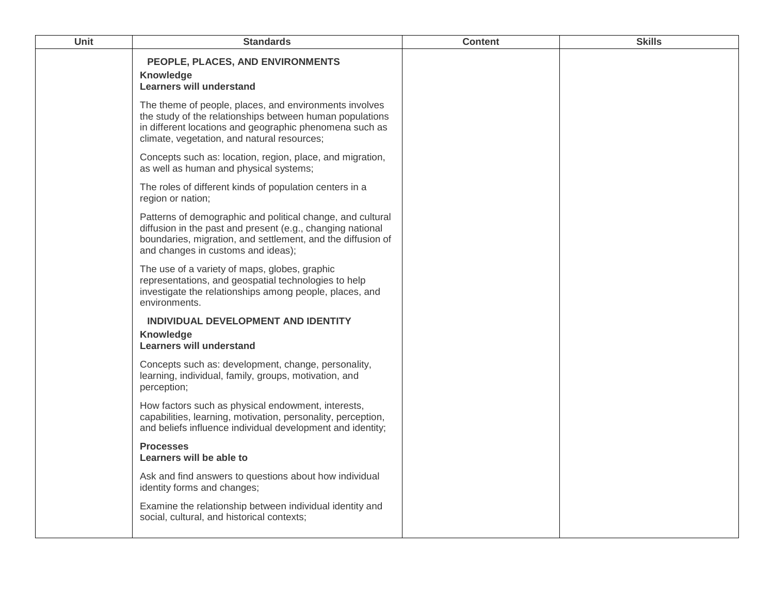| Unit | <b>Standards</b>                                                                                                                                                                                                              | <b>Content</b> | <b>Skills</b> |
|------|-------------------------------------------------------------------------------------------------------------------------------------------------------------------------------------------------------------------------------|----------------|---------------|
|      | PEOPLE, PLACES, AND ENVIRONMENTS<br>Knowledge<br><b>Learners will understand</b>                                                                                                                                              |                |               |
|      | The theme of people, places, and environments involves<br>the study of the relationships between human populations<br>in different locations and geographic phenomena such as<br>climate, vegetation, and natural resources;  |                |               |
|      | Concepts such as: location, region, place, and migration,<br>as well as human and physical systems;                                                                                                                           |                |               |
|      | The roles of different kinds of population centers in a<br>region or nation;                                                                                                                                                  |                |               |
|      | Patterns of demographic and political change, and cultural<br>diffusion in the past and present (e.g., changing national<br>boundaries, migration, and settlement, and the diffusion of<br>and changes in customs and ideas); |                |               |
|      | The use of a variety of maps, globes, graphic<br>representations, and geospatial technologies to help<br>investigate the relationships among people, places, and<br>environments.                                             |                |               |
|      | INDIVIDUAL DEVELOPMENT AND IDENTITY                                                                                                                                                                                           |                |               |
|      | Knowledge<br><b>Learners will understand</b>                                                                                                                                                                                  |                |               |
|      | Concepts such as: development, change, personality,<br>learning, individual, family, groups, motivation, and<br>perception;                                                                                                   |                |               |
|      | How factors such as physical endowment, interests,<br>capabilities, learning, motivation, personality, perception,<br>and beliefs influence individual development and identity;                                              |                |               |
|      | <b>Processes</b><br>Learners will be able to                                                                                                                                                                                  |                |               |
|      | Ask and find answers to questions about how individual<br>identity forms and changes;                                                                                                                                         |                |               |
|      | Examine the relationship between individual identity and<br>social, cultural, and historical contexts;                                                                                                                        |                |               |
|      |                                                                                                                                                                                                                               |                |               |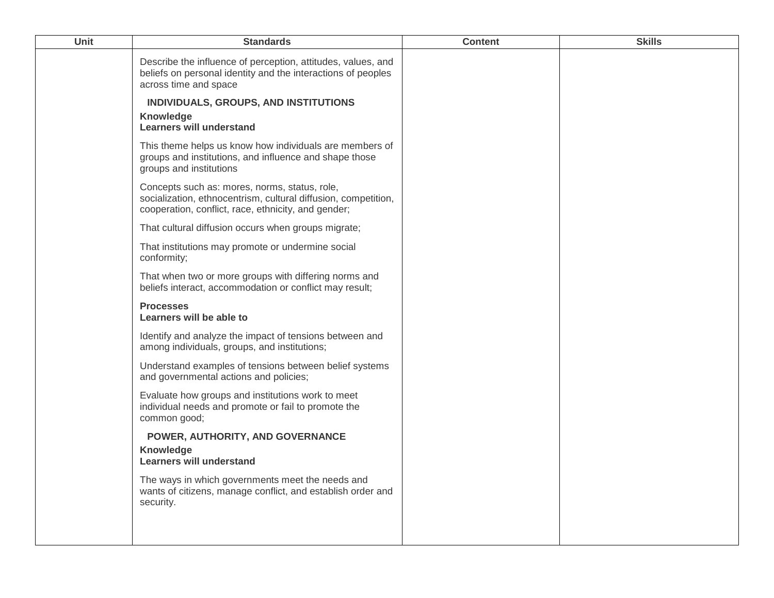| <b>Unit</b> | <b>Standards</b>                                                                                                                                                       | <b>Content</b> | <b>Skills</b> |
|-------------|------------------------------------------------------------------------------------------------------------------------------------------------------------------------|----------------|---------------|
|             | Describe the influence of perception, attitudes, values, and<br>beliefs on personal identity and the interactions of peoples<br>across time and space                  |                |               |
|             | INDIVIDUALS, GROUPS, AND INSTITUTIONS<br>Knowledge<br><b>Learners will understand</b>                                                                                  |                |               |
|             | This theme helps us know how individuals are members of<br>groups and institutions, and influence and shape those<br>groups and institutions                           |                |               |
|             | Concepts such as: mores, norms, status, role,<br>socialization, ethnocentrism, cultural diffusion, competition,<br>cooperation, conflict, race, ethnicity, and gender; |                |               |
|             | That cultural diffusion occurs when groups migrate;                                                                                                                    |                |               |
|             | That institutions may promote or undermine social<br>conformity;                                                                                                       |                |               |
|             | That when two or more groups with differing norms and<br>beliefs interact, accommodation or conflict may result;                                                       |                |               |
|             | <b>Processes</b><br>Learners will be able to                                                                                                                           |                |               |
|             | Identify and analyze the impact of tensions between and<br>among individuals, groups, and institutions;                                                                |                |               |
|             | Understand examples of tensions between belief systems<br>and governmental actions and policies;                                                                       |                |               |
|             | Evaluate how groups and institutions work to meet<br>individual needs and promote or fail to promote the<br>common good;                                               |                |               |
|             | POWER, AUTHORITY, AND GOVERNANCE<br>Knowledge<br><b>Learners will understand</b>                                                                                       |                |               |
|             | The ways in which governments meet the needs and<br>wants of citizens, manage conflict, and establish order and<br>security.                                           |                |               |
|             |                                                                                                                                                                        |                |               |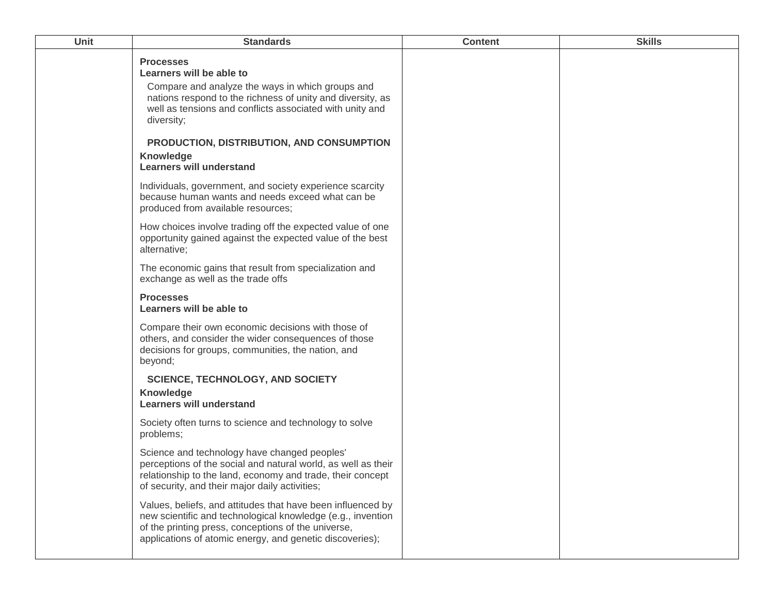| Unit | <b>Standards</b>                                                                                                                                                                                                                                                                      | <b>Content</b> | <b>Skills</b> |
|------|---------------------------------------------------------------------------------------------------------------------------------------------------------------------------------------------------------------------------------------------------------------------------------------|----------------|---------------|
|      | <b>Processes</b><br>Learners will be able to<br>Compare and analyze the ways in which groups and<br>nations respond to the richness of unity and diversity, as<br>well as tensions and conflicts associated with unity and<br>diversity;<br>PRODUCTION, DISTRIBUTION, AND CONSUMPTION |                |               |
|      | <b>Knowledge</b><br><b>Learners will understand</b>                                                                                                                                                                                                                                   |                |               |
|      | Individuals, government, and society experience scarcity<br>because human wants and needs exceed what can be<br>produced from available resources;                                                                                                                                    |                |               |
|      | How choices involve trading off the expected value of one<br>opportunity gained against the expected value of the best<br>alternative;                                                                                                                                                |                |               |
|      | The economic gains that result from specialization and<br>exchange as well as the trade offs                                                                                                                                                                                          |                |               |
|      | <b>Processes</b><br>Learners will be able to                                                                                                                                                                                                                                          |                |               |
|      | Compare their own economic decisions with those of<br>others, and consider the wider consequences of those<br>decisions for groups, communities, the nation, and<br>beyond;                                                                                                           |                |               |
|      | <b>SCIENCE, TECHNOLOGY, AND SOCIETY</b><br><b>Knowledge</b><br><b>Learners will understand</b>                                                                                                                                                                                        |                |               |
|      | Society often turns to science and technology to solve<br>problems;                                                                                                                                                                                                                   |                |               |
|      | Science and technology have changed peoples'<br>perceptions of the social and natural world, as well as their<br>relationship to the land, economy and trade, their concept<br>of security, and their major daily activities;                                                         |                |               |
|      | Values, beliefs, and attitudes that have been influenced by<br>new scientific and technological knowledge (e.g., invention<br>of the printing press, conceptions of the universe,<br>applications of atomic energy, and genetic discoveries);                                         |                |               |
|      |                                                                                                                                                                                                                                                                                       |                |               |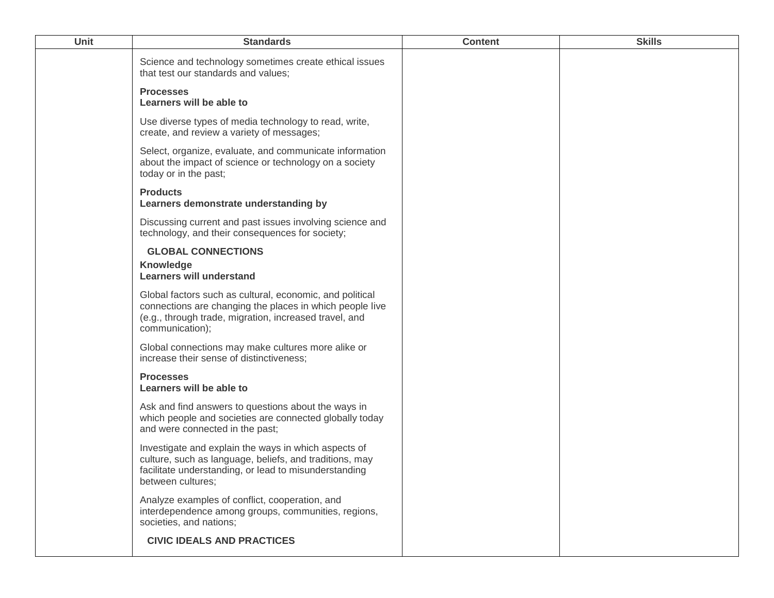| <b>Unit</b> | <b>Standards</b>                                                                                                                                                                                  | <b>Content</b> | <b>Skills</b> |
|-------------|---------------------------------------------------------------------------------------------------------------------------------------------------------------------------------------------------|----------------|---------------|
|             | Science and technology sometimes create ethical issues<br>that test our standards and values;                                                                                                     |                |               |
|             | <b>Processes</b><br>Learners will be able to                                                                                                                                                      |                |               |
|             | Use diverse types of media technology to read, write,<br>create, and review a variety of messages;                                                                                                |                |               |
|             | Select, organize, evaluate, and communicate information<br>about the impact of science or technology on a society<br>today or in the past;                                                        |                |               |
|             | <b>Products</b><br>Learners demonstrate understanding by                                                                                                                                          |                |               |
|             | Discussing current and past issues involving science and<br>technology, and their consequences for society;                                                                                       |                |               |
|             | <b>GLOBAL CONNECTIONS</b><br><b>Knowledge</b><br><b>Learners will understand</b>                                                                                                                  |                |               |
|             | Global factors such as cultural, economic, and political<br>connections are changing the places in which people live<br>(e.g., through trade, migration, increased travel, and<br>communication); |                |               |
|             | Global connections may make cultures more alike or<br>increase their sense of distinctiveness;                                                                                                    |                |               |
|             | <b>Processes</b><br>Learners will be able to                                                                                                                                                      |                |               |
|             | Ask and find answers to questions about the ways in<br>which people and societies are connected globally today<br>and were connected in the past;                                                 |                |               |
|             | Investigate and explain the ways in which aspects of<br>culture, such as language, beliefs, and traditions, may<br>facilitate understanding, or lead to misunderstanding<br>between cultures;     |                |               |
|             | Analyze examples of conflict, cooperation, and<br>interdependence among groups, communities, regions,<br>societies, and nations;                                                                  |                |               |
|             | <b>CIVIC IDEALS AND PRACTICES</b>                                                                                                                                                                 |                |               |
|             |                                                                                                                                                                                                   |                |               |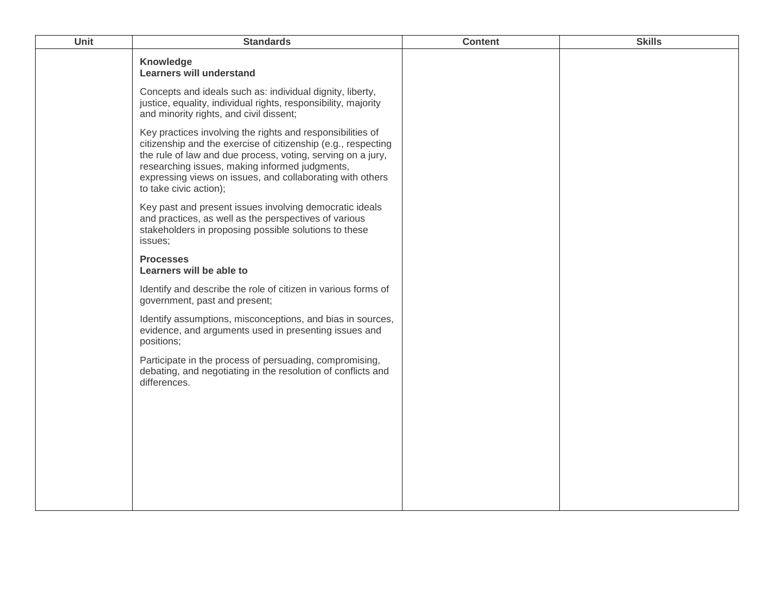| <b>Unit</b> | <b>Standards</b>                                                                                                                                                                                                                                                                                                                    | <b>Content</b> | <b>Skills</b> |
|-------------|-------------------------------------------------------------------------------------------------------------------------------------------------------------------------------------------------------------------------------------------------------------------------------------------------------------------------------------|----------------|---------------|
|             | Knowledge<br><b>Learners will understand</b>                                                                                                                                                                                                                                                                                        |                |               |
|             | Concepts and ideals such as: individual dignity, liberty,<br>justice, equality, individual rights, responsibility, majority<br>and minority rights, and civil dissent;                                                                                                                                                              |                |               |
|             | Key practices involving the rights and responsibilities of<br>citizenship and the exercise of citizenship (e.g., respecting<br>the rule of law and due process, voting, serving on a jury,<br>researching issues, making informed judgments,<br>expressing views on issues, and collaborating with others<br>to take civic action); |                |               |
|             | Key past and present issues involving democratic ideals<br>and practices, as well as the perspectives of various<br>stakeholders in proposing possible solutions to these<br>issues;                                                                                                                                                |                |               |
|             | <b>Processes</b><br>Learners will be able to                                                                                                                                                                                                                                                                                        |                |               |
|             | Identify and describe the role of citizen in various forms of<br>government, past and present;                                                                                                                                                                                                                                      |                |               |
|             | Identify assumptions, misconceptions, and bias in sources,<br>evidence, and arguments used in presenting issues and<br>positions;                                                                                                                                                                                                   |                |               |
|             | Participate in the process of persuading, compromising,<br>debating, and negotiating in the resolution of conflicts and<br>differences.                                                                                                                                                                                             |                |               |
|             |                                                                                                                                                                                                                                                                                                                                     |                |               |
|             |                                                                                                                                                                                                                                                                                                                                     |                |               |
|             |                                                                                                                                                                                                                                                                                                                                     |                |               |
|             |                                                                                                                                                                                                                                                                                                                                     |                |               |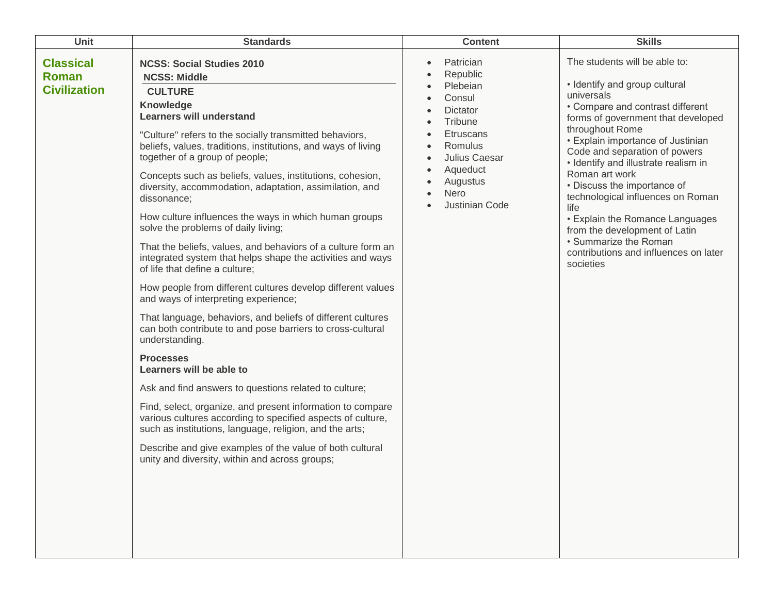| Unit                                             | <b>Standards</b>                                                                                                                                                                                                                                                                                                                                                                                                                                                                                                                                                                                                                                                                                                                                                                                                                                                                                                                                                                                                                                                                                                                                                                                                                                                                                                                                                    | <b>Content</b>                                                                                                                                                       | <b>Skills</b>                                                                                                                                                                                                                                                                                                                                                                                                                                                                                                                            |
|--------------------------------------------------|---------------------------------------------------------------------------------------------------------------------------------------------------------------------------------------------------------------------------------------------------------------------------------------------------------------------------------------------------------------------------------------------------------------------------------------------------------------------------------------------------------------------------------------------------------------------------------------------------------------------------------------------------------------------------------------------------------------------------------------------------------------------------------------------------------------------------------------------------------------------------------------------------------------------------------------------------------------------------------------------------------------------------------------------------------------------------------------------------------------------------------------------------------------------------------------------------------------------------------------------------------------------------------------------------------------------------------------------------------------------|----------------------------------------------------------------------------------------------------------------------------------------------------------------------|------------------------------------------------------------------------------------------------------------------------------------------------------------------------------------------------------------------------------------------------------------------------------------------------------------------------------------------------------------------------------------------------------------------------------------------------------------------------------------------------------------------------------------------|
| <b>Classical</b><br>Roman<br><b>Civilization</b> | <b>NCSS: Social Studies 2010</b><br><b>NCSS: Middle</b><br><b>CULTURE</b><br>Knowledge<br><b>Learners will understand</b><br>"Culture" refers to the socially transmitted behaviors,<br>beliefs, values, traditions, institutions, and ways of living<br>together of a group of people;<br>Concepts such as beliefs, values, institutions, cohesion,<br>diversity, accommodation, adaptation, assimilation, and<br>dissonance;<br>How culture influences the ways in which human groups<br>solve the problems of daily living;<br>That the beliefs, values, and behaviors of a culture form an<br>integrated system that helps shape the activities and ways<br>of life that define a culture;<br>How people from different cultures develop different values<br>and ways of interpreting experience;<br>That language, behaviors, and beliefs of different cultures<br>can both contribute to and pose barriers to cross-cultural<br>understanding.<br><b>Processes</b><br>Learners will be able to<br>Ask and find answers to questions related to culture;<br>Find, select, organize, and present information to compare<br>various cultures according to specified aspects of culture,<br>such as institutions, language, religion, and the arts;<br>Describe and give examples of the value of both cultural<br>unity and diversity, within and across groups; | Patrician<br>Republic<br>Plebeian<br>Consul<br>Dictator<br>Tribune<br><b>Etruscans</b><br>Romulus<br>Julius Caesar<br>Aqueduct<br>Augustus<br>Nero<br>Justinian Code | The students will be able to:<br>• Identify and group cultural<br>universals<br>• Compare and contrast different<br>forms of government that developed<br>throughout Rome<br>• Explain importance of Justinian<br>Code and separation of powers<br>• Identify and illustrate realism in<br>Roman art work<br>• Discuss the importance of<br>technological influences on Roman<br>life<br>• Explain the Romance Languages<br>from the development of Latin<br>• Summarize the Roman<br>contributions and influences on later<br>societies |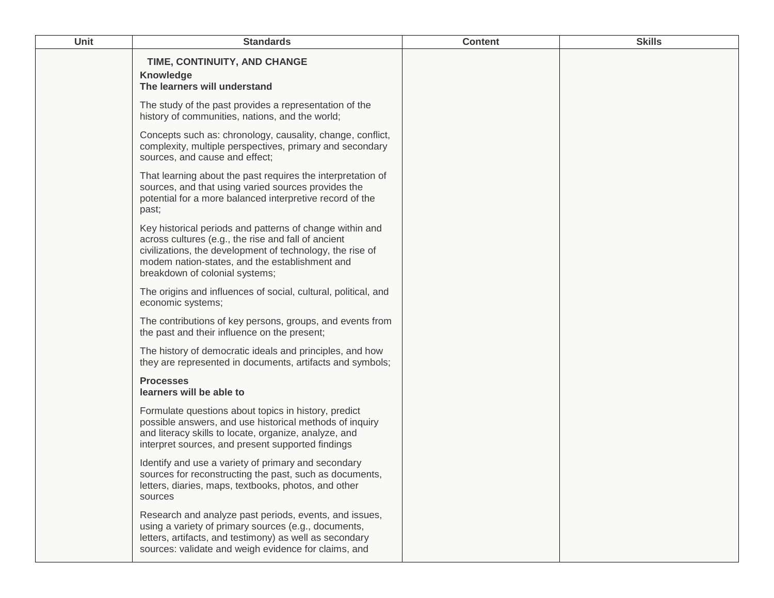| Unit | <b>Standards</b>                                                                                                                                                                                                                                                 | <b>Content</b> | <b>Skills</b> |
|------|------------------------------------------------------------------------------------------------------------------------------------------------------------------------------------------------------------------------------------------------------------------|----------------|---------------|
|      | TIME, CONTINUITY, AND CHANGE<br><b>Knowledge</b><br>The learners will understand                                                                                                                                                                                 |                |               |
|      | The study of the past provides a representation of the<br>history of communities, nations, and the world;                                                                                                                                                        |                |               |
|      | Concepts such as: chronology, causality, change, conflict,<br>complexity, multiple perspectives, primary and secondary<br>sources, and cause and effect;                                                                                                         |                |               |
|      | That learning about the past requires the interpretation of<br>sources, and that using varied sources provides the<br>potential for a more balanced interpretive record of the<br>past;                                                                          |                |               |
|      | Key historical periods and patterns of change within and<br>across cultures (e.g., the rise and fall of ancient<br>civilizations, the development of technology, the rise of<br>modem nation-states, and the establishment and<br>breakdown of colonial systems; |                |               |
|      | The origins and influences of social, cultural, political, and<br>economic systems;                                                                                                                                                                              |                |               |
|      | The contributions of key persons, groups, and events from<br>the past and their influence on the present;                                                                                                                                                        |                |               |
|      | The history of democratic ideals and principles, and how<br>they are represented in documents, artifacts and symbols;                                                                                                                                            |                |               |
|      | <b>Processes</b><br>learners will be able to                                                                                                                                                                                                                     |                |               |
|      | Formulate questions about topics in history, predict<br>possible answers, and use historical methods of inquiry<br>and literacy skills to locate, organize, analyze, and<br>interpret sources, and present supported findings                                    |                |               |
|      | Identify and use a variety of primary and secondary<br>sources for reconstructing the past, such as documents,<br>letters, diaries, maps, textbooks, photos, and other<br>sources                                                                                |                |               |
|      | Research and analyze past periods, events, and issues,<br>using a variety of primary sources (e.g., documents,<br>letters, artifacts, and testimony) as well as secondary<br>sources: validate and weigh evidence for claims, and                                |                |               |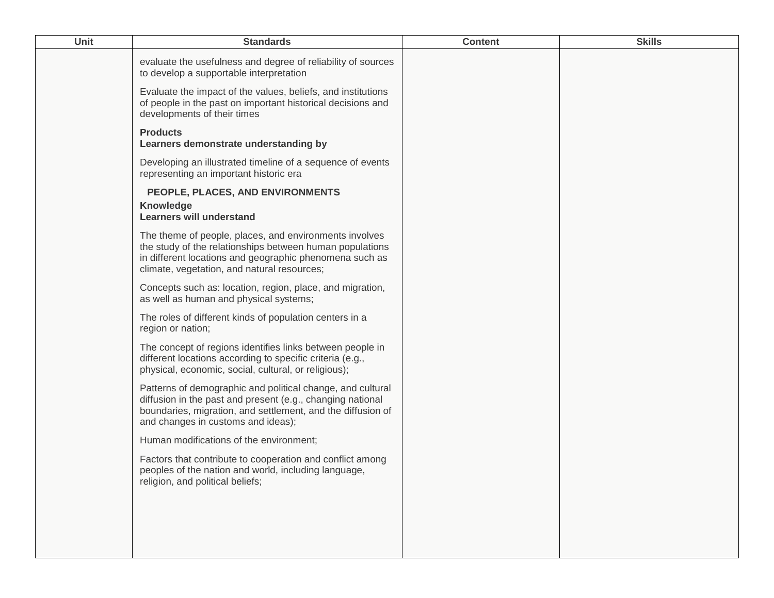| Unit | <b>Standards</b>                                                                                                                                                                                                              | <b>Content</b> | <b>Skills</b> |
|------|-------------------------------------------------------------------------------------------------------------------------------------------------------------------------------------------------------------------------------|----------------|---------------|
|      | evaluate the usefulness and degree of reliability of sources<br>to develop a supportable interpretation                                                                                                                       |                |               |
|      | Evaluate the impact of the values, beliefs, and institutions<br>of people in the past on important historical decisions and<br>developments of their times                                                                    |                |               |
|      | <b>Products</b><br>Learners demonstrate understanding by                                                                                                                                                                      |                |               |
|      | Developing an illustrated timeline of a sequence of events<br>representing an important historic era                                                                                                                          |                |               |
|      | PEOPLE, PLACES, AND ENVIRONMENTS<br>Knowledge<br><b>Learners will understand</b>                                                                                                                                              |                |               |
|      | The theme of people, places, and environments involves<br>the study of the relationships between human populations<br>in different locations and geographic phenomena such as<br>climate, vegetation, and natural resources;  |                |               |
|      | Concepts such as: location, region, place, and migration,<br>as well as human and physical systems;                                                                                                                           |                |               |
|      | The roles of different kinds of population centers in a<br>region or nation;                                                                                                                                                  |                |               |
|      | The concept of regions identifies links between people in<br>different locations according to specific criteria (e.g.,<br>physical, economic, social, cultural, or religious);                                                |                |               |
|      | Patterns of demographic and political change, and cultural<br>diffusion in the past and present (e.g., changing national<br>boundaries, migration, and settlement, and the diffusion of<br>and changes in customs and ideas); |                |               |
|      | Human modifications of the environment;                                                                                                                                                                                       |                |               |
|      | Factors that contribute to cooperation and conflict among<br>peoples of the nation and world, including language,<br>religion, and political beliefs;                                                                         |                |               |
|      |                                                                                                                                                                                                                               |                |               |
|      |                                                                                                                                                                                                                               |                |               |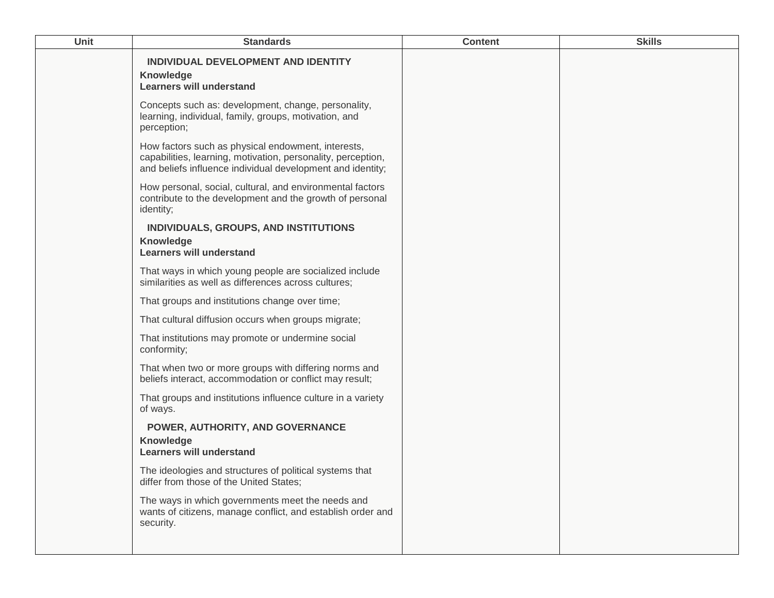| <b>Unit</b> | <b>Standards</b>                                                                                                                                                                 | <b>Content</b> | <b>Skills</b> |
|-------------|----------------------------------------------------------------------------------------------------------------------------------------------------------------------------------|----------------|---------------|
|             | INDIVIDUAL DEVELOPMENT AND IDENTITY<br>Knowledge<br><b>Learners will understand</b>                                                                                              |                |               |
|             | Concepts such as: development, change, personality,<br>learning, individual, family, groups, motivation, and<br>perception;                                                      |                |               |
|             | How factors such as physical endowment, interests,<br>capabilities, learning, motivation, personality, perception,<br>and beliefs influence individual development and identity; |                |               |
|             | How personal, social, cultural, and environmental factors<br>contribute to the development and the growth of personal<br>identity;                                               |                |               |
|             | INDIVIDUALS, GROUPS, AND INSTITUTIONS<br>Knowledge<br><b>Learners will understand</b>                                                                                            |                |               |
|             | That ways in which young people are socialized include<br>similarities as well as differences across cultures;                                                                   |                |               |
|             | That groups and institutions change over time;                                                                                                                                   |                |               |
|             | That cultural diffusion occurs when groups migrate;                                                                                                                              |                |               |
|             | That institutions may promote or undermine social<br>conformity;                                                                                                                 |                |               |
|             | That when two or more groups with differing norms and<br>beliefs interact, accommodation or conflict may result;                                                                 |                |               |
|             | That groups and institutions influence culture in a variety<br>of ways.                                                                                                          |                |               |
|             | POWER, AUTHORITY, AND GOVERNANCE<br>Knowledge<br><b>Learners will understand</b>                                                                                                 |                |               |
|             | The ideologies and structures of political systems that<br>differ from those of the United States;                                                                               |                |               |
|             | The ways in which governments meet the needs and<br>wants of citizens, manage conflict, and establish order and<br>security.                                                     |                |               |
|             |                                                                                                                                                                                  |                |               |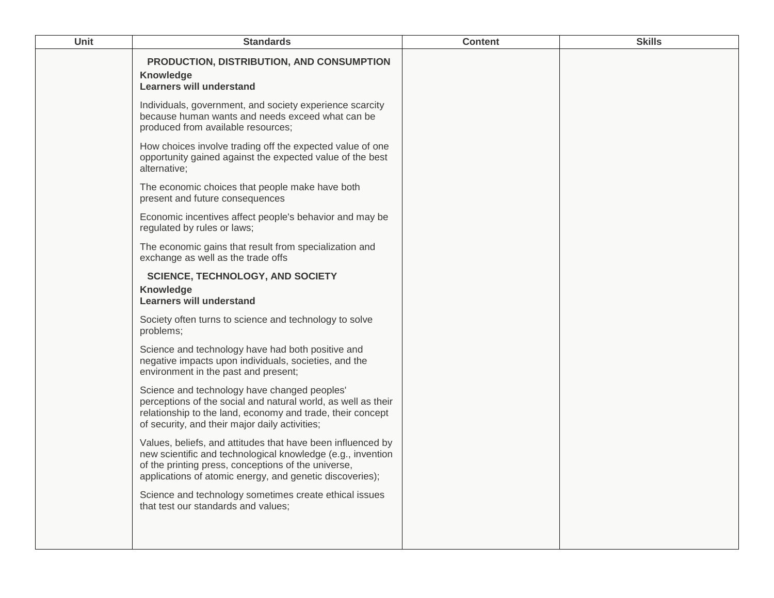| <b>Unit</b> | <b>Standards</b>                                                                                                                                                                                                                              | <b>Content</b> | <b>Skills</b> |
|-------------|-----------------------------------------------------------------------------------------------------------------------------------------------------------------------------------------------------------------------------------------------|----------------|---------------|
|             | PRODUCTION, DISTRIBUTION, AND CONSUMPTION<br>Knowledge<br><b>Learners will understand</b>                                                                                                                                                     |                |               |
|             | Individuals, government, and society experience scarcity<br>because human wants and needs exceed what can be<br>produced from available resources;                                                                                            |                |               |
|             | How choices involve trading off the expected value of one<br>opportunity gained against the expected value of the best<br>alternative;                                                                                                        |                |               |
|             | The economic choices that people make have both<br>present and future consequences                                                                                                                                                            |                |               |
|             | Economic incentives affect people's behavior and may be<br>regulated by rules or laws;                                                                                                                                                        |                |               |
|             | The economic gains that result from specialization and<br>exchange as well as the trade offs                                                                                                                                                  |                |               |
|             | <b>SCIENCE, TECHNOLOGY, AND SOCIETY</b><br>Knowledge<br><b>Learners will understand</b>                                                                                                                                                       |                |               |
|             | Society often turns to science and technology to solve<br>problems;                                                                                                                                                                           |                |               |
|             | Science and technology have had both positive and<br>negative impacts upon individuals, societies, and the<br>environment in the past and present;                                                                                            |                |               |
|             | Science and technology have changed peoples'<br>perceptions of the social and natural world, as well as their<br>relationship to the land, economy and trade, their concept<br>of security, and their major daily activities;                 |                |               |
|             | Values, beliefs, and attitudes that have been influenced by<br>new scientific and technological knowledge (e.g., invention<br>of the printing press, conceptions of the universe,<br>applications of atomic energy, and genetic discoveries); |                |               |
|             | Science and technology sometimes create ethical issues<br>that test our standards and values;                                                                                                                                                 |                |               |
|             |                                                                                                                                                                                                                                               |                |               |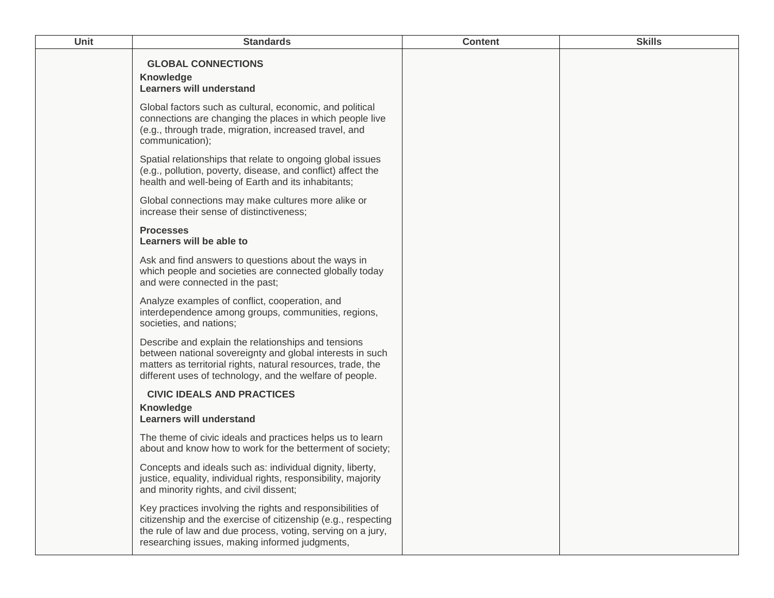| <b>Unit</b> | <b>Standards</b>                                                                                                                                                                                                                             | <b>Content</b> | <b>Skills</b> |
|-------------|----------------------------------------------------------------------------------------------------------------------------------------------------------------------------------------------------------------------------------------------|----------------|---------------|
|             | <b>GLOBAL CONNECTIONS</b><br><b>Knowledge</b><br><b>Learners will understand</b>                                                                                                                                                             |                |               |
|             | Global factors such as cultural, economic, and political<br>connections are changing the places in which people live<br>(e.g., through trade, migration, increased travel, and<br>communication);                                            |                |               |
|             | Spatial relationships that relate to ongoing global issues<br>(e.g., pollution, poverty, disease, and conflict) affect the<br>health and well-being of Earth and its inhabitants;                                                            |                |               |
|             | Global connections may make cultures more alike or<br>increase their sense of distinctiveness;                                                                                                                                               |                |               |
|             | <b>Processes</b><br>Learners will be able to                                                                                                                                                                                                 |                |               |
|             | Ask and find answers to questions about the ways in<br>which people and societies are connected globally today<br>and were connected in the past;                                                                                            |                |               |
|             | Analyze examples of conflict, cooperation, and<br>interdependence among groups, communities, regions,<br>societies, and nations;                                                                                                             |                |               |
|             | Describe and explain the relationships and tensions<br>between national sovereignty and global interests in such<br>matters as territorial rights, natural resources, trade, the<br>different uses of technology, and the welfare of people. |                |               |
|             | <b>CIVIC IDEALS AND PRACTICES</b><br><b>Knowledge</b><br><b>Learners will understand</b>                                                                                                                                                     |                |               |
|             | The theme of civic ideals and practices helps us to learn<br>about and know how to work for the betterment of society;                                                                                                                       |                |               |
|             | Concepts and ideals such as: individual dignity, liberty,<br>justice, equality, individual rights, responsibility, majority<br>and minority rights, and civil dissent;                                                                       |                |               |
|             | Key practices involving the rights and responsibilities of<br>citizenship and the exercise of citizenship (e.g., respecting<br>the rule of law and due process, voting, serving on a jury,<br>researching issues, making informed judgments, |                |               |